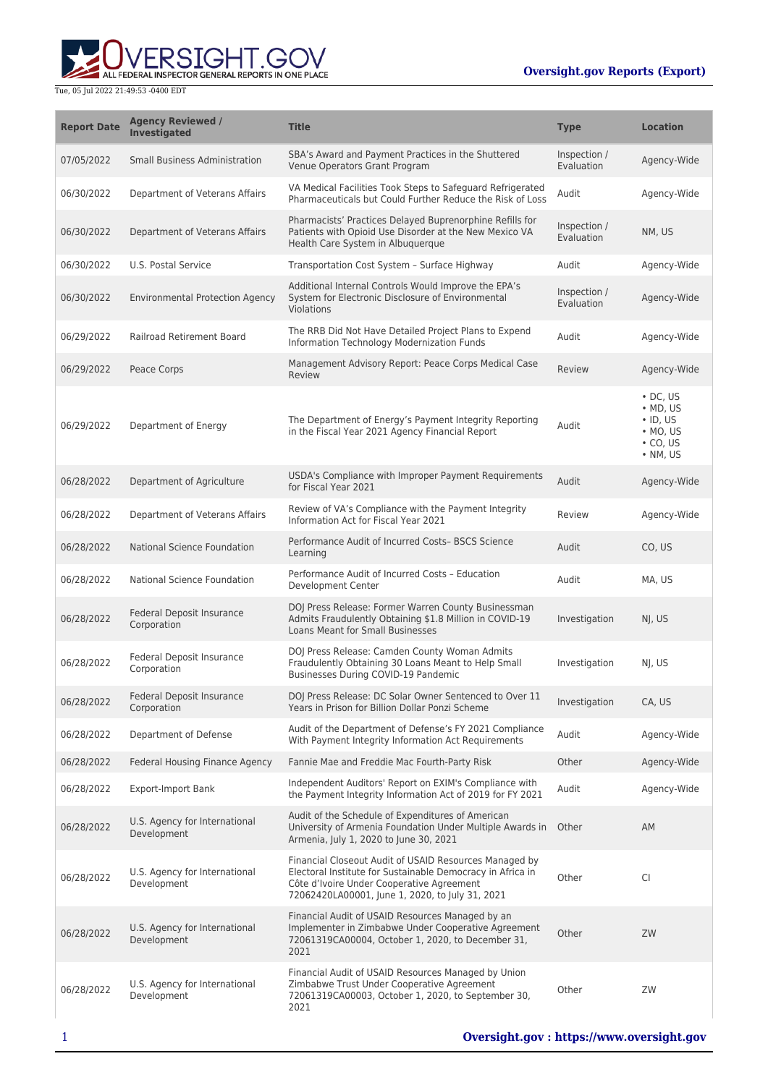

| <b>Report Date</b> | <b>Agency Reviewed /</b><br><b>Investigated</b> | <b>Title</b>                                                                                                                                                                                                         | <b>Type</b>                | <b>Location</b>                                                                                  |
|--------------------|-------------------------------------------------|----------------------------------------------------------------------------------------------------------------------------------------------------------------------------------------------------------------------|----------------------------|--------------------------------------------------------------------------------------------------|
| 07/05/2022         | <b>Small Business Administration</b>            | SBA's Award and Payment Practices in the Shuttered<br>Venue Operators Grant Program                                                                                                                                  | Inspection /<br>Evaluation | Agency-Wide                                                                                      |
| 06/30/2022         | Department of Veterans Affairs                  | VA Medical Facilities Took Steps to Safeguard Refrigerated<br>Pharmaceuticals but Could Further Reduce the Risk of Loss                                                                                              | Audit                      | Agency-Wide                                                                                      |
| 06/30/2022         | Department of Veterans Affairs                  | Pharmacists' Practices Delayed Buprenorphine Refills for<br>Patients with Opioid Use Disorder at the New Mexico VA<br>Health Care System in Albuquerque                                                              | Inspection /<br>Evaluation | NM, US                                                                                           |
| 06/30/2022         | U.S. Postal Service                             | Transportation Cost System - Surface Highway                                                                                                                                                                         | Audit                      | Agency-Wide                                                                                      |
| 06/30/2022         | <b>Environmental Protection Agency</b>          | Additional Internal Controls Would Improve the EPA's<br>System for Electronic Disclosure of Environmental<br>Violations                                                                                              | Inspection /<br>Evaluation | Agency-Wide                                                                                      |
| 06/29/2022         | Railroad Retirement Board                       | The RRB Did Not Have Detailed Project Plans to Expend<br>Information Technology Modernization Funds                                                                                                                  | Audit                      | Agency-Wide                                                                                      |
| 06/29/2022         | Peace Corps                                     | Management Advisory Report: Peace Corps Medical Case<br>Review                                                                                                                                                       | Review                     | Agency-Wide                                                                                      |
| 06/29/2022         | Department of Energy                            | The Department of Energy's Payment Integrity Reporting<br>in the Fiscal Year 2021 Agency Financial Report                                                                                                            | Audit                      | $\cdot$ DC, US<br>$\bullet$ MD, US<br>$\cdot$ ID, US<br>$·$ MO, US<br>$\cdot$ CO, US<br>• NM, US |
| 06/28/2022         | Department of Agriculture                       | USDA's Compliance with Improper Payment Requirements<br>for Fiscal Year 2021                                                                                                                                         | Audit                      | Agency-Wide                                                                                      |
| 06/28/2022         | Department of Veterans Affairs                  | Review of VA's Compliance with the Payment Integrity<br>Information Act for Fiscal Year 2021                                                                                                                         | Review                     | Agency-Wide                                                                                      |
| 06/28/2022         | <b>National Science Foundation</b>              | Performance Audit of Incurred Costs- BSCS Science<br>Learning                                                                                                                                                        | Audit                      | CO, US                                                                                           |
| 06/28/2022         | National Science Foundation                     | Performance Audit of Incurred Costs - Education<br>Development Center                                                                                                                                                | Audit                      | MA, US                                                                                           |
| 06/28/2022         | Federal Deposit Insurance<br>Corporation        | DOJ Press Release: Former Warren County Businessman<br>Admits Fraudulently Obtaining \$1.8 Million in COVID-19<br><b>Loans Meant for Small Businesses</b>                                                            | Investigation              | NI, US                                                                                           |
| 06/28/2022         | Federal Deposit Insurance<br>Corporation        | DOJ Press Release: Camden County Woman Admits<br>Fraudulently Obtaining 30 Loans Meant to Help Small<br>Businesses During COVID-19 Pandemic                                                                          | Investigation              | NJ, US                                                                                           |
| 06/28/2022         | Federal Deposit Insurance<br>Corporation        | DOJ Press Release: DC Solar Owner Sentenced to Over 11<br>Years in Prison for Billion Dollar Ponzi Scheme                                                                                                            | Investigation              | CA, US                                                                                           |
| 06/28/2022         | Department of Defense                           | Audit of the Department of Defense's FY 2021 Compliance<br>With Payment Integrity Information Act Requirements                                                                                                       | Audit                      | Agency-Wide                                                                                      |
| 06/28/2022         | <b>Federal Housing Finance Agency</b>           | Fannie Mae and Freddie Mac Fourth-Party Risk                                                                                                                                                                         | Other                      | Agency-Wide                                                                                      |
| 06/28/2022         | <b>Export-Import Bank</b>                       | Independent Auditors' Report on EXIM's Compliance with<br>the Payment Integrity Information Act of 2019 for FY 2021                                                                                                  | Audit                      | Agency-Wide                                                                                      |
| 06/28/2022         | U.S. Agency for International<br>Development    | Audit of the Schedule of Expenditures of American<br>University of Armenia Foundation Under Multiple Awards in<br>Armenia, July 1, 2020 to June 30, 2021                                                             | Other                      | AM                                                                                               |
| 06/28/2022         | U.S. Agency for International<br>Development    | Financial Closeout Audit of USAID Resources Managed by<br>Electoral Institute for Sustainable Democracy in Africa in<br>Côte d'Ivoire Under Cooperative Agreement<br>72062420LA00001, June 1, 2020, to July 31, 2021 | Other                      | <b>CI</b>                                                                                        |
| 06/28/2022         | U.S. Agency for International<br>Development    | Financial Audit of USAID Resources Managed by an<br>Implementer in Zimbabwe Under Cooperative Agreement<br>72061319CA00004, October 1, 2020, to December 31,<br>2021                                                 | Other                      | ZW                                                                                               |
| 06/28/2022         | U.S. Agency for International<br>Development    | Financial Audit of USAID Resources Managed by Union<br>Zimbabwe Trust Under Cooperative Agreement<br>72061319CA00003, October 1, 2020, to September 30,<br>2021                                                      | Other                      | ZW                                                                                               |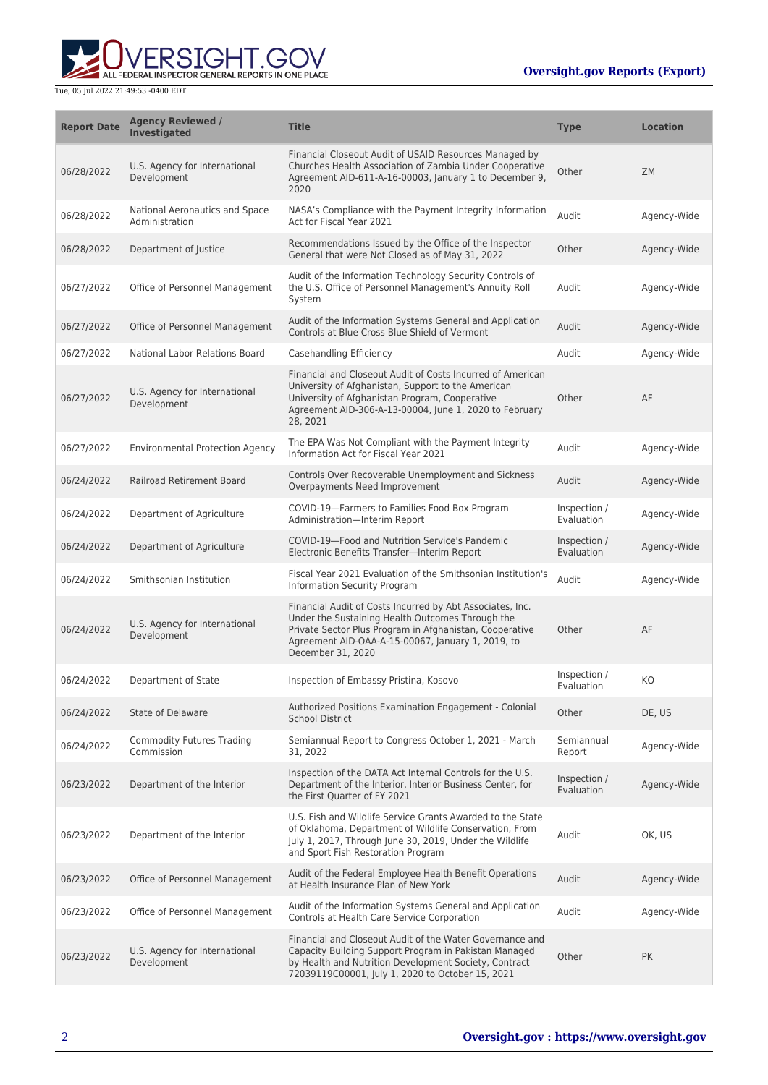

| <b>Report Date</b> | <b>Agency Reviewed /</b><br><b>Investigated</b>  | <b>Title</b>                                                                                                                                                                                                                                       | <b>Type</b>                | <b>Location</b> |
|--------------------|--------------------------------------------------|----------------------------------------------------------------------------------------------------------------------------------------------------------------------------------------------------------------------------------------------------|----------------------------|-----------------|
| 06/28/2022         | U.S. Agency for International<br>Development     | Financial Closeout Audit of USAID Resources Managed by<br>Churches Health Association of Zambia Under Cooperative<br>Agreement AID-611-A-16-00003, January 1 to December 9,<br>2020                                                                | Other                      | <b>ZM</b>       |
| 06/28/2022         | National Aeronautics and Space<br>Administration | NASA's Compliance with the Payment Integrity Information<br>Act for Fiscal Year 2021                                                                                                                                                               | Audit                      | Agency-Wide     |
| 06/28/2022         | Department of Justice                            | Recommendations Issued by the Office of the Inspector<br>General that were Not Closed as of May 31, 2022                                                                                                                                           | Other                      | Agency-Wide     |
| 06/27/2022         | Office of Personnel Management                   | Audit of the Information Technology Security Controls of<br>the U.S. Office of Personnel Management's Annuity Roll<br>System                                                                                                                       | Audit                      | Agency-Wide     |
| 06/27/2022         | Office of Personnel Management                   | Audit of the Information Systems General and Application<br>Controls at Blue Cross Blue Shield of Vermont                                                                                                                                          | Audit                      | Agency-Wide     |
| 06/27/2022         | National Labor Relations Board                   | Casehandling Efficiency                                                                                                                                                                                                                            | Audit                      | Agency-Wide     |
| 06/27/2022         | U.S. Agency for International<br>Development     | Financial and Closeout Audit of Costs Incurred of American<br>University of Afghanistan, Support to the American<br>University of Afghanistan Program, Cooperative<br>Agreement AID-306-A-13-00004, June 1, 2020 to February<br>28, 2021           | Other                      | AF              |
| 06/27/2022         | <b>Environmental Protection Agency</b>           | The EPA Was Not Compliant with the Payment Integrity<br>Information Act for Fiscal Year 2021                                                                                                                                                       | Audit                      | Agency-Wide     |
| 06/24/2022         | <b>Railroad Retirement Board</b>                 | Controls Over Recoverable Unemployment and Sickness<br>Overpayments Need Improvement                                                                                                                                                               | Audit                      | Agency-Wide     |
| 06/24/2022         | Department of Agriculture                        | COVID-19-Farmers to Families Food Box Program<br>Administration-Interim Report                                                                                                                                                                     | Inspection /<br>Evaluation | Agency-Wide     |
| 06/24/2022         | Department of Agriculture                        | COVID-19-Food and Nutrition Service's Pandemic<br>Electronic Benefits Transfer-Interim Report                                                                                                                                                      | Inspection /<br>Evaluation | Agency-Wide     |
| 06/24/2022         | Smithsonian Institution                          | Fiscal Year 2021 Evaluation of the Smithsonian Institution's<br>Information Security Program                                                                                                                                                       | Audit                      | Agency-Wide     |
| 06/24/2022         | U.S. Agency for International<br>Development     | Financial Audit of Costs Incurred by Abt Associates, Inc.<br>Under the Sustaining Health Outcomes Through the<br>Private Sector Plus Program in Afghanistan, Cooperative<br>Agreement AID-OAA-A-15-00067, January 1, 2019, to<br>December 31, 2020 | Other                      | AF              |
| 06/24/2022         | Department of State                              | Inspection of Embassy Pristina, Kosovo                                                                                                                                                                                                             | Inspection /<br>Evaluation | KO              |
| 06/24/2022         | <b>State of Delaware</b>                         | Authorized Positions Examination Engagement - Colonial<br><b>School District</b>                                                                                                                                                                   | Other                      | DE. US          |
| 06/24/2022         | <b>Commodity Futures Trading</b><br>Commission   | Semiannual Report to Congress October 1, 2021 - March<br>31, 2022                                                                                                                                                                                  | Semiannual<br>Report       | Agency-Wide     |
| 06/23/2022         | Department of the Interior                       | Inspection of the DATA Act Internal Controls for the U.S.<br>Department of the Interior, Interior Business Center, for<br>the First Quarter of FY 2021                                                                                             | Inspection /<br>Evaluation | Agency-Wide     |
| 06/23/2022         | Department of the Interior                       | U.S. Fish and Wildlife Service Grants Awarded to the State<br>of Oklahoma, Department of Wildlife Conservation, From<br>July 1, 2017, Through June 30, 2019, Under the Wildlife<br>and Sport Fish Restoration Program                              | Audit                      | OK, US          |
| 06/23/2022         | Office of Personnel Management                   | Audit of the Federal Employee Health Benefit Operations<br>at Health Insurance Plan of New York                                                                                                                                                    | Audit                      | Agency-Wide     |
| 06/23/2022         | Office of Personnel Management                   | Audit of the Information Systems General and Application<br>Controls at Health Care Service Corporation                                                                                                                                            | Audit                      | Agency-Wide     |
| 06/23/2022         | U.S. Agency for International<br>Development     | Financial and Closeout Audit of the Water Governance and<br>Capacity Building Support Program in Pakistan Managed<br>by Health and Nutrition Development Society, Contract<br>72039119C00001, July 1, 2020 to October 15, 2021                     | Other                      | <b>PK</b>       |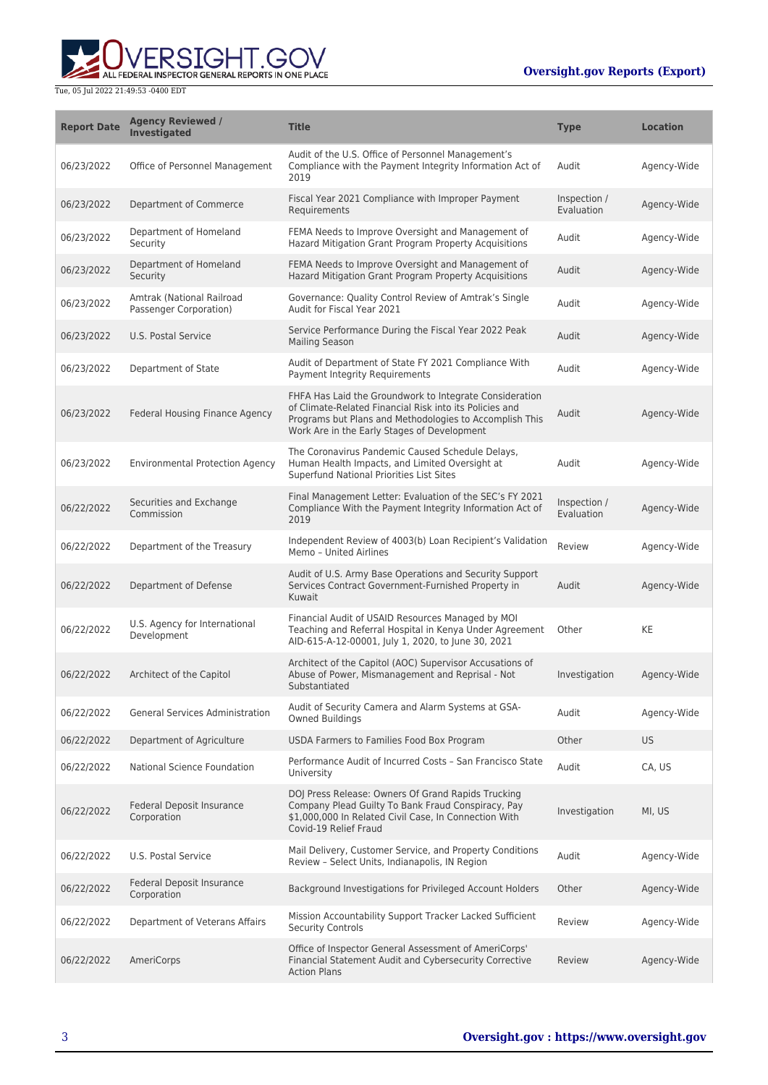

| <b>Report Date</b> | <b>Agency Reviewed /</b><br><b>Investigated</b>     | <b>Title</b>                                                                                                                                                                                                                 | <b>Type</b>                | <b>Location</b> |
|--------------------|-----------------------------------------------------|------------------------------------------------------------------------------------------------------------------------------------------------------------------------------------------------------------------------------|----------------------------|-----------------|
| 06/23/2022         | Office of Personnel Management                      | Audit of the U.S. Office of Personnel Management's<br>Compliance with the Payment Integrity Information Act of<br>2019                                                                                                       | Audit                      | Agency-Wide     |
| 06/23/2022         | Department of Commerce                              | Fiscal Year 2021 Compliance with Improper Payment<br>Requirements                                                                                                                                                            | Inspection /<br>Evaluation | Agency-Wide     |
| 06/23/2022         | Department of Homeland<br>Security                  | FEMA Needs to Improve Oversight and Management of<br>Hazard Mitigation Grant Program Property Acquisitions                                                                                                                   | Audit                      | Agency-Wide     |
| 06/23/2022         | Department of Homeland<br>Security                  | FEMA Needs to Improve Oversight and Management of<br>Hazard Mitigation Grant Program Property Acquisitions                                                                                                                   | Audit                      | Agency-Wide     |
| 06/23/2022         | Amtrak (National Railroad<br>Passenger Corporation) | Governance: Quality Control Review of Amtrak's Single<br>Audit for Fiscal Year 2021                                                                                                                                          | Audit                      | Agency-Wide     |
| 06/23/2022         | U.S. Postal Service                                 | Service Performance During the Fiscal Year 2022 Peak<br><b>Mailing Season</b>                                                                                                                                                | Audit                      | Agency-Wide     |
| 06/23/2022         | Department of State                                 | Audit of Department of State FY 2021 Compliance With<br>Payment Integrity Requirements                                                                                                                                       | Audit                      | Agency-Wide     |
| 06/23/2022         | Federal Housing Finance Agency                      | FHFA Has Laid the Groundwork to Integrate Consideration<br>of Climate-Related Financial Risk into its Policies and<br>Programs but Plans and Methodologies to Accomplish This<br>Work Are in the Early Stages of Development | Audit                      | Agency-Wide     |
| 06/23/2022         | <b>Environmental Protection Agency</b>              | The Coronavirus Pandemic Caused Schedule Delays,<br>Human Health Impacts, and Limited Oversight at<br>Superfund National Priorities List Sites                                                                               | Audit                      | Agency-Wide     |
| 06/22/2022         | Securities and Exchange<br>Commission               | Final Management Letter: Evaluation of the SEC's FY 2021<br>Compliance With the Payment Integrity Information Act of<br>2019                                                                                                 | Inspection /<br>Evaluation | Agency-Wide     |
| 06/22/2022         | Department of the Treasury                          | Independent Review of 4003(b) Loan Recipient's Validation<br>Memo - United Airlines                                                                                                                                          | Review                     | Agency-Wide     |
| 06/22/2022         | Department of Defense                               | Audit of U.S. Army Base Operations and Security Support<br>Services Contract Government-Furnished Property in<br>Kuwait                                                                                                      | Audit                      | Agency-Wide     |
| 06/22/2022         | U.S. Agency for International<br>Development        | Financial Audit of USAID Resources Managed by MOI<br>Teaching and Referral Hospital in Kenya Under Agreement<br>AID-615-A-12-00001, July 1, 2020, to June 30, 2021                                                           | Other                      | KE              |
| 06/22/2022         | Architect of the Capitol                            | Architect of the Capitol (AOC) Supervisor Accusations of<br>Abuse of Power, Mismanagement and Reprisal - Not<br>Substantiated                                                                                                | Investigation              | Agency-Wide     |
| 06/22/2022         | <b>General Services Administration</b>              | Audit of Security Camera and Alarm Systems at GSA-<br><b>Owned Buildings</b>                                                                                                                                                 | Audit                      | Agency-Wide     |
| 06/22/2022         | Department of Agriculture                           | USDA Farmers to Families Food Box Program                                                                                                                                                                                    | Other                      | US.             |
| 06/22/2022         | National Science Foundation                         | Performance Audit of Incurred Costs - San Francisco State<br>University                                                                                                                                                      | Audit                      | CA, US          |
| 06/22/2022         | Federal Deposit Insurance<br>Corporation            | DOJ Press Release: Owners Of Grand Rapids Trucking<br>Company Plead Guilty To Bank Fraud Conspiracy, Pay<br>\$1,000,000 In Related Civil Case, In Connection With<br>Covid-19 Relief Fraud                                   | Investigation              | MI, US          |
| 06/22/2022         | U.S. Postal Service                                 | Mail Delivery, Customer Service, and Property Conditions<br>Review - Select Units, Indianapolis, IN Region                                                                                                                   | Audit                      | Agency-Wide     |
| 06/22/2022         | Federal Deposit Insurance<br>Corporation            | Background Investigations for Privileged Account Holders                                                                                                                                                                     | Other                      | Agency-Wide     |
| 06/22/2022         | Department of Veterans Affairs                      | Mission Accountability Support Tracker Lacked Sufficient<br><b>Security Controls</b>                                                                                                                                         | Review                     | Agency-Wide     |
| 06/22/2022         | AmeriCorps                                          | Office of Inspector General Assessment of AmeriCorps'<br>Financial Statement Audit and Cybersecurity Corrective<br><b>Action Plans</b>                                                                                       | Review                     | Agency-Wide     |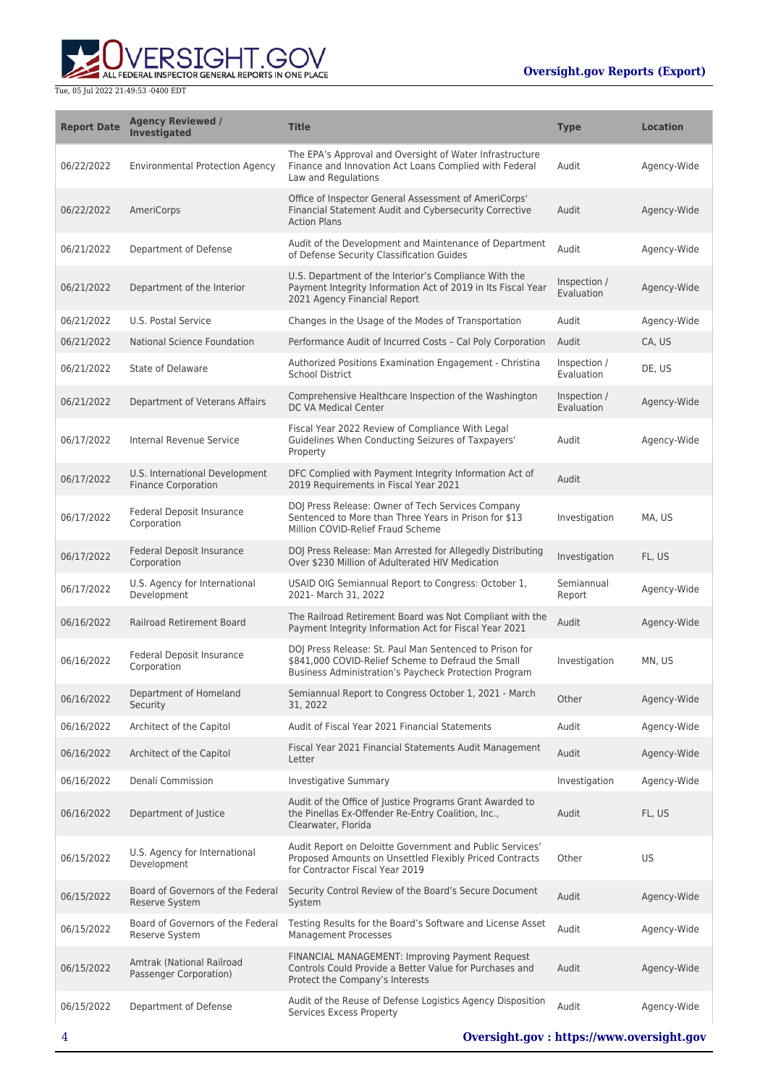ALL FEDERAL INSPECTOR GENERAL REPORTS IN ONE PLACE

| <b>Report Date</b> | <b>Agency Reviewed /</b><br><b>Investigated</b>              | <b>Title</b>                                                                                                                                                           | <b>Type</b>                | <b>Location</b> |
|--------------------|--------------------------------------------------------------|------------------------------------------------------------------------------------------------------------------------------------------------------------------------|----------------------------|-----------------|
| 06/22/2022         | <b>Environmental Protection Agency</b>                       | The EPA's Approval and Oversight of Water Infrastructure<br>Finance and Innovation Act Loans Complied with Federal<br>Law and Regulations                              | Audit                      | Agency-Wide     |
| 06/22/2022         | AmeriCorps                                                   | Office of Inspector General Assessment of AmeriCorps'<br>Financial Statement Audit and Cybersecurity Corrective<br><b>Action Plans</b>                                 | Audit                      | Agency-Wide     |
| 06/21/2022         | Department of Defense                                        | Audit of the Development and Maintenance of Department<br>of Defense Security Classification Guides                                                                    | Audit                      | Agency-Wide     |
| 06/21/2022         | Department of the Interior                                   | U.S. Department of the Interior's Compliance With the<br>Payment Integrity Information Act of 2019 in Its Fiscal Year<br>2021 Agency Financial Report                  | Inspection /<br>Evaluation | Agency-Wide     |
| 06/21/2022         | U.S. Postal Service                                          | Changes in the Usage of the Modes of Transportation                                                                                                                    | Audit                      | Agency-Wide     |
| 06/21/2022         | National Science Foundation                                  | Performance Audit of Incurred Costs - Cal Poly Corporation                                                                                                             | Audit                      | CA, US          |
| 06/21/2022         | State of Delaware                                            | Authorized Positions Examination Engagement - Christina<br>School District                                                                                             | Inspection /<br>Evaluation | DE, US          |
| 06/21/2022         | Department of Veterans Affairs                               | Comprehensive Healthcare Inspection of the Washington<br>DC VA Medical Center                                                                                          | Inspection /<br>Evaluation | Agency-Wide     |
| 06/17/2022         | Internal Revenue Service                                     | Fiscal Year 2022 Review of Compliance With Legal<br>Guidelines When Conducting Seizures of Taxpayers'<br>Property                                                      | Audit                      | Agency-Wide     |
| 06/17/2022         | U.S. International Development<br><b>Finance Corporation</b> | DFC Complied with Payment Integrity Information Act of<br>2019 Requirements in Fiscal Year 2021                                                                        | Audit                      |                 |
| 06/17/2022         | Federal Deposit Insurance<br>Corporation                     | DOJ Press Release: Owner of Tech Services Company<br>Sentenced to More than Three Years in Prison for \$13<br>Million COVID-Relief Fraud Scheme                        | Investigation              | MA, US          |
| 06/17/2022         | Federal Deposit Insurance<br>Corporation                     | DOJ Press Release: Man Arrested for Allegedly Distributing<br>Over \$230 Million of Adulterated HIV Medication                                                         | Investigation              | FL, US          |
| 06/17/2022         | U.S. Agency for International<br>Development                 | USAID OIG Semiannual Report to Congress: October 1,<br>2021- March 31, 2022                                                                                            | Semiannual<br>Report       | Agency-Wide     |
| 06/16/2022         | <b>Railroad Retirement Board</b>                             | The Railroad Retirement Board was Not Compliant with the<br>Payment Integrity Information Act for Fiscal Year 2021                                                     | Audit                      | Agency-Wide     |
| 06/16/2022         | Federal Deposit Insurance<br>Corporation                     | DOJ Press Release: St. Paul Man Sentenced to Prison for<br>\$841,000 COVID-Relief Scheme to Defraud the Small<br>Business Administration's Paycheck Protection Program | Investigation              | MN, US          |
| 06/16/2022         | Department of Homeland<br>Security                           | Semiannual Report to Congress October 1, 2021 - March<br>31, 2022                                                                                                      | Other                      | Agency-Wide     |
| 06/16/2022         | Architect of the Capitol                                     | Audit of Fiscal Year 2021 Financial Statements                                                                                                                         | Audit                      | Agency-Wide     |
| 06/16/2022         | Architect of the Capitol                                     | Fiscal Year 2021 Financial Statements Audit Management<br>Letter                                                                                                       | Audit                      | Agency-Wide     |
| 06/16/2022         | Denali Commission                                            | <b>Investigative Summary</b>                                                                                                                                           | Investigation              | Agency-Wide     |
| 06/16/2022         | Department of Justice                                        | Audit of the Office of Justice Programs Grant Awarded to<br>the Pinellas Ex-Offender Re-Entry Coalition, Inc.,<br>Clearwater, Florida                                  | Audit                      | FL, US          |
| 06/15/2022         | U.S. Agency for International<br>Development                 | Audit Report on Deloitte Government and Public Services'<br>Proposed Amounts on Unsettled Flexibly Priced Contracts<br>for Contractor Fiscal Year 2019                 | Other                      | US              |
| 06/15/2022         | Board of Governors of the Federal<br><b>Reserve System</b>   | Security Control Review of the Board's Secure Document<br>System                                                                                                       | Audit                      | Agency-Wide     |
| 06/15/2022         | Board of Governors of the Federal<br>Reserve System          | Testing Results for the Board's Software and License Asset<br><b>Management Processes</b>                                                                              | Audit                      | Agency-Wide     |
| 06/15/2022         | Amtrak (National Railroad<br>Passenger Corporation)          | FINANCIAL MANAGEMENT: Improving Payment Request<br>Controls Could Provide a Better Value for Purchases and<br>Protect the Company's Interests                          | Audit                      | Agency-Wide     |
| 06/15/2022         | Department of Defense                                        | Audit of the Reuse of Defense Logistics Agency Disposition<br>Services Excess Property                                                                                 | Audit                      | Agency-Wide     |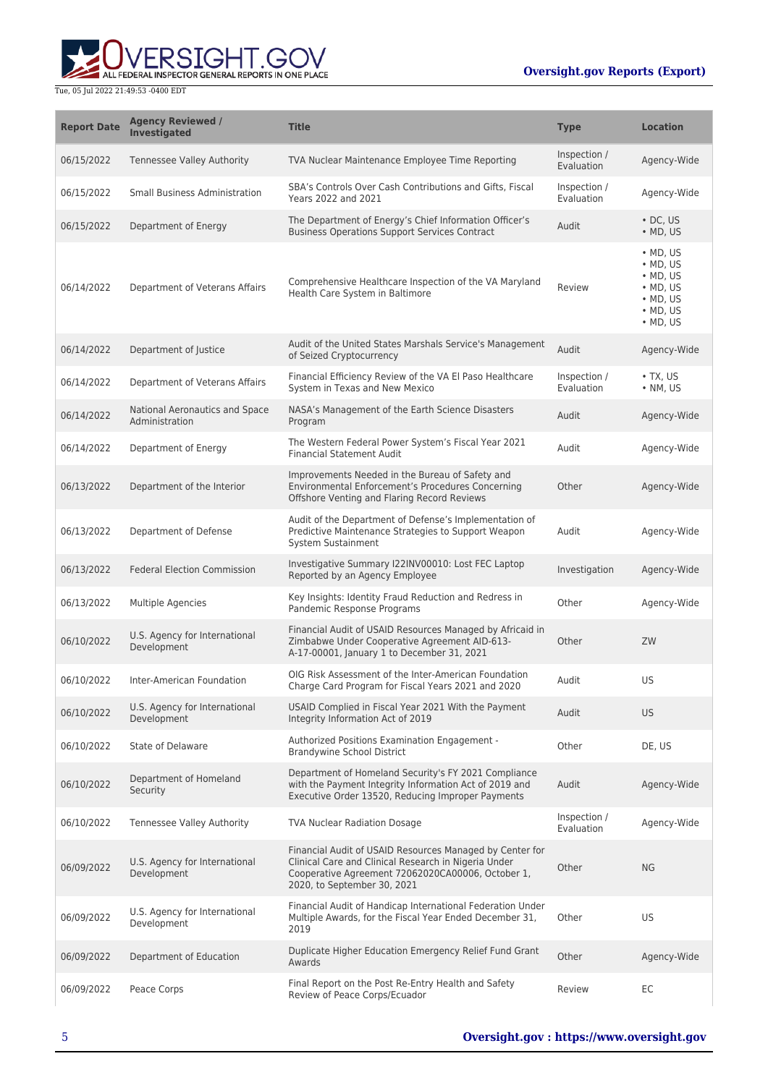

| <b>Report Date</b> | <b>Agency Reviewed /</b><br><b>Investigated</b>  | <b>Title</b>                                                                                                                                                                                         | <b>Type</b>                | <b>Location</b>                                                                                                                    |
|--------------------|--------------------------------------------------|------------------------------------------------------------------------------------------------------------------------------------------------------------------------------------------------------|----------------------------|------------------------------------------------------------------------------------------------------------------------------------|
| 06/15/2022         | <b>Tennessee Valley Authority</b>                | TVA Nuclear Maintenance Employee Time Reporting                                                                                                                                                      | Inspection /<br>Evaluation | Agency-Wide                                                                                                                        |
| 06/15/2022         | <b>Small Business Administration</b>             | SBA's Controls Over Cash Contributions and Gifts, Fiscal<br>Years 2022 and 2021                                                                                                                      | Inspection /<br>Evaluation | Agency-Wide                                                                                                                        |
| 06/15/2022         | Department of Energy                             | The Department of Energy's Chief Information Officer's<br><b>Business Operations Support Services Contract</b>                                                                                       | Audit                      | $\cdot$ DC, US<br>$\bullet$ MD, US                                                                                                 |
| 06/14/2022         | Department of Veterans Affairs                   | Comprehensive Healthcare Inspection of the VA Maryland<br>Health Care System in Baltimore                                                                                                            | Review                     | $·$ MD, US<br>$\bullet$ MD, US<br>$\bullet$ MD, US<br>$\bullet$ MD, US<br>$\bullet$ MD, US<br>$\bullet$ MD, US<br>$\bullet$ MD, US |
| 06/14/2022         | Department of Justice                            | Audit of the United States Marshals Service's Management<br>of Seized Cryptocurrency                                                                                                                 | Audit                      | Agency-Wide                                                                                                                        |
| 06/14/2022         | Department of Veterans Affairs                   | Financial Efficiency Review of the VA El Paso Healthcare<br>System in Texas and New Mexico                                                                                                           | Inspection /<br>Evaluation | $\bullet$ TX, US<br>$\cdot$ NM, US                                                                                                 |
| 06/14/2022         | National Aeronautics and Space<br>Administration | NASA's Management of the Earth Science Disasters<br>Program                                                                                                                                          | Audit                      | Agency-Wide                                                                                                                        |
| 06/14/2022         | Department of Energy                             | The Western Federal Power System's Fiscal Year 2021<br><b>Financial Statement Audit</b>                                                                                                              | Audit                      | Agency-Wide                                                                                                                        |
| 06/13/2022         | Department of the Interior                       | Improvements Needed in the Bureau of Safety and<br>Environmental Enforcement's Procedures Concerning<br>Offshore Venting and Flaring Record Reviews                                                  | Other                      | Agency-Wide                                                                                                                        |
| 06/13/2022         | Department of Defense                            | Audit of the Department of Defense's Implementation of<br>Predictive Maintenance Strategies to Support Weapon<br>System Sustainment                                                                  | Audit                      | Agency-Wide                                                                                                                        |
| 06/13/2022         | <b>Federal Election Commission</b>               | Investigative Summary I22INV00010: Lost FEC Laptop<br>Reported by an Agency Employee                                                                                                                 | Investigation              | Agency-Wide                                                                                                                        |
| 06/13/2022         | Multiple Agencies                                | Key Insights: Identity Fraud Reduction and Redress in<br>Pandemic Response Programs                                                                                                                  | Other                      | Agency-Wide                                                                                                                        |
| 06/10/2022         | U.S. Agency for International<br>Development     | Financial Audit of USAID Resources Managed by Africaid in<br>Zimbabwe Under Cooperative Agreement AID-613-<br>A-17-00001, January 1 to December 31, 2021                                             | Other                      | ZW                                                                                                                                 |
| 06/10/2022         | Inter-American Foundation                        | OIG Risk Assessment of the Inter-American Foundation<br>Charge Card Program for Fiscal Years 2021 and 2020                                                                                           | Audit                      | US                                                                                                                                 |
| 06/10/2022         | U.S. Agency for International<br>Development     | USAID Complied in Fiscal Year 2021 With the Payment<br>Integrity Information Act of 2019                                                                                                             | Audit                      | <b>US</b>                                                                                                                          |
| 06/10/2022         | State of Delaware                                | Authorized Positions Examination Engagement -<br><b>Brandywine School District</b>                                                                                                                   | Other                      | DE, US                                                                                                                             |
| 06/10/2022         | Department of Homeland<br>Security               | Department of Homeland Security's FY 2021 Compliance<br>with the Payment Integrity Information Act of 2019 and<br>Executive Order 13520, Reducing Improper Payments                                  | Audit                      | Agency-Wide                                                                                                                        |
| 06/10/2022         | <b>Tennessee Valley Authority</b>                | <b>TVA Nuclear Radiation Dosage</b>                                                                                                                                                                  | Inspection /<br>Evaluation | Agency-Wide                                                                                                                        |
| 06/09/2022         | U.S. Agency for International<br>Development     | Financial Audit of USAID Resources Managed by Center for<br>Clinical Care and Clinical Research in Nigeria Under<br>Cooperative Agreement 72062020CA00006, October 1,<br>2020, to September 30, 2021 | Other                      | <b>NG</b>                                                                                                                          |
| 06/09/2022         | U.S. Agency for International<br>Development     | Financial Audit of Handicap International Federation Under<br>Multiple Awards, for the Fiscal Year Ended December 31,<br>2019                                                                        | Other                      | US                                                                                                                                 |
| 06/09/2022         | Department of Education                          | Duplicate Higher Education Emergency Relief Fund Grant<br>Awards                                                                                                                                     | Other                      | Agency-Wide                                                                                                                        |
| 06/09/2022         | Peace Corps                                      | Final Report on the Post Re-Entry Health and Safety<br>Review of Peace Corps/Ecuador                                                                                                                 | Review                     | EC                                                                                                                                 |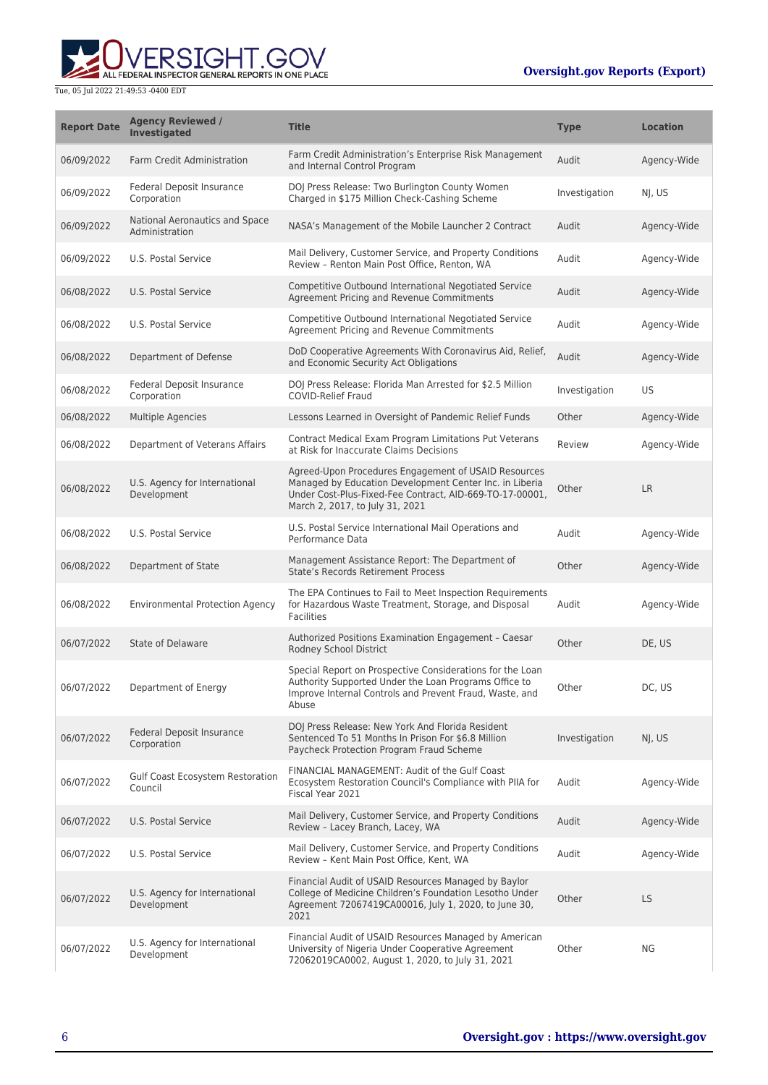

| <b>Report Date</b> | <b>Agency Reviewed /</b><br><b>Investigated</b>  | <b>Title</b>                                                                                                                                                                                                   | <b>Type</b>   | <b>Location</b> |
|--------------------|--------------------------------------------------|----------------------------------------------------------------------------------------------------------------------------------------------------------------------------------------------------------------|---------------|-----------------|
| 06/09/2022         | <b>Farm Credit Administration</b>                | Farm Credit Administration's Enterprise Risk Management<br>and Internal Control Program                                                                                                                        | Audit         | Agency-Wide     |
| 06/09/2022         | Federal Deposit Insurance<br>Corporation         | DOJ Press Release: Two Burlington County Women<br>Charged in \$175 Million Check-Cashing Scheme                                                                                                                | Investigation | NJ, US          |
| 06/09/2022         | National Aeronautics and Space<br>Administration | NASA's Management of the Mobile Launcher 2 Contract                                                                                                                                                            | Audit         | Agency-Wide     |
| 06/09/2022         | U.S. Postal Service                              | Mail Delivery, Customer Service, and Property Conditions<br>Review - Renton Main Post Office, Renton, WA                                                                                                       | Audit         | Agency-Wide     |
| 06/08/2022         | U.S. Postal Service                              | Competitive Outbound International Negotiated Service<br>Agreement Pricing and Revenue Commitments                                                                                                             | Audit         | Agency-Wide     |
| 06/08/2022         | U.S. Postal Service                              | Competitive Outbound International Negotiated Service<br>Agreement Pricing and Revenue Commitments                                                                                                             | Audit         | Agency-Wide     |
| 06/08/2022         | Department of Defense                            | DoD Cooperative Agreements With Coronavirus Aid, Relief,<br>and Economic Security Act Obligations                                                                                                              | Audit         | Agency-Wide     |
| 06/08/2022         | Federal Deposit Insurance<br>Corporation         | DOJ Press Release: Florida Man Arrested for \$2.5 Million<br><b>COVID-Relief Fraud</b>                                                                                                                         | Investigation | US              |
| 06/08/2022         | <b>Multiple Agencies</b>                         | Lessons Learned in Oversight of Pandemic Relief Funds                                                                                                                                                          | Other         | Agency-Wide     |
| 06/08/2022         | Department of Veterans Affairs                   | Contract Medical Exam Program Limitations Put Veterans<br>at Risk for Inaccurate Claims Decisions                                                                                                              | Review        | Agency-Wide     |
| 06/08/2022         | U.S. Agency for International<br>Development     | Agreed-Upon Procedures Engagement of USAID Resources<br>Managed by Education Development Center Inc. in Liberia<br>Under Cost-Plus-Fixed-Fee Contract, AID-669-TO-17-00001,<br>March 2, 2017, to July 31, 2021 | Other         | LR              |
| 06/08/2022         | U.S. Postal Service                              | U.S. Postal Service International Mail Operations and<br>Performance Data                                                                                                                                      | Audit         | Agency-Wide     |
| 06/08/2022         | Department of State                              | Management Assistance Report: The Department of<br><b>State's Records Retirement Process</b>                                                                                                                   | Other         | Agency-Wide     |
| 06/08/2022         | <b>Environmental Protection Agency</b>           | The EPA Continues to Fail to Meet Inspection Requirements<br>for Hazardous Waste Treatment, Storage, and Disposal<br><b>Facilities</b>                                                                         | Audit         | Agency-Wide     |
| 06/07/2022         | State of Delaware                                | Authorized Positions Examination Engagement - Caesar<br>Rodney School District                                                                                                                                 | Other         | DE, US          |
| 06/07/2022         | Department of Energy                             | Special Report on Prospective Considerations for the Loan<br>Authority Supported Under the Loan Programs Office to<br>Improve Internal Controls and Prevent Fraud, Waste, and<br>Abuse                         | Other         | DC, US          |
| 06/07/2022         | <b>Federal Deposit Insurance</b><br>Corporation  | DOJ Press Release: New York And Florida Resident<br>Sentenced To 51 Months In Prison For \$6.8 Million<br>Paycheck Protection Program Fraud Scheme                                                             | Investigation | NJ, US          |
| 06/07/2022         | Gulf Coast Ecosystem Restoration<br>Council      | FINANCIAL MANAGEMENT: Audit of the Gulf Coast<br>Ecosystem Restoration Council's Compliance with PIIA for<br>Fiscal Year 2021                                                                                  | Audit         | Agency-Wide     |
| 06/07/2022         | U.S. Postal Service                              | Mail Delivery, Customer Service, and Property Conditions<br>Review - Lacey Branch, Lacey, WA                                                                                                                   | Audit         | Agency-Wide     |
| 06/07/2022         | U.S. Postal Service                              | Mail Delivery, Customer Service, and Property Conditions<br>Review - Kent Main Post Office, Kent, WA                                                                                                           | Audit         | Agency-Wide     |
| 06/07/2022         | U.S. Agency for International<br>Development     | Financial Audit of USAID Resources Managed by Baylor<br>College of Medicine Children's Foundation Lesotho Under<br>Agreement 72067419CA00016, July 1, 2020, to June 30,<br>2021                                | Other         | <b>LS</b>       |
| 06/07/2022         | U.S. Agency for International<br>Development     | Financial Audit of USAID Resources Managed by American<br>University of Nigeria Under Cooperative Agreement<br>72062019CA0002, August 1, 2020, to July 31, 2021                                                | Other         | ΝG              |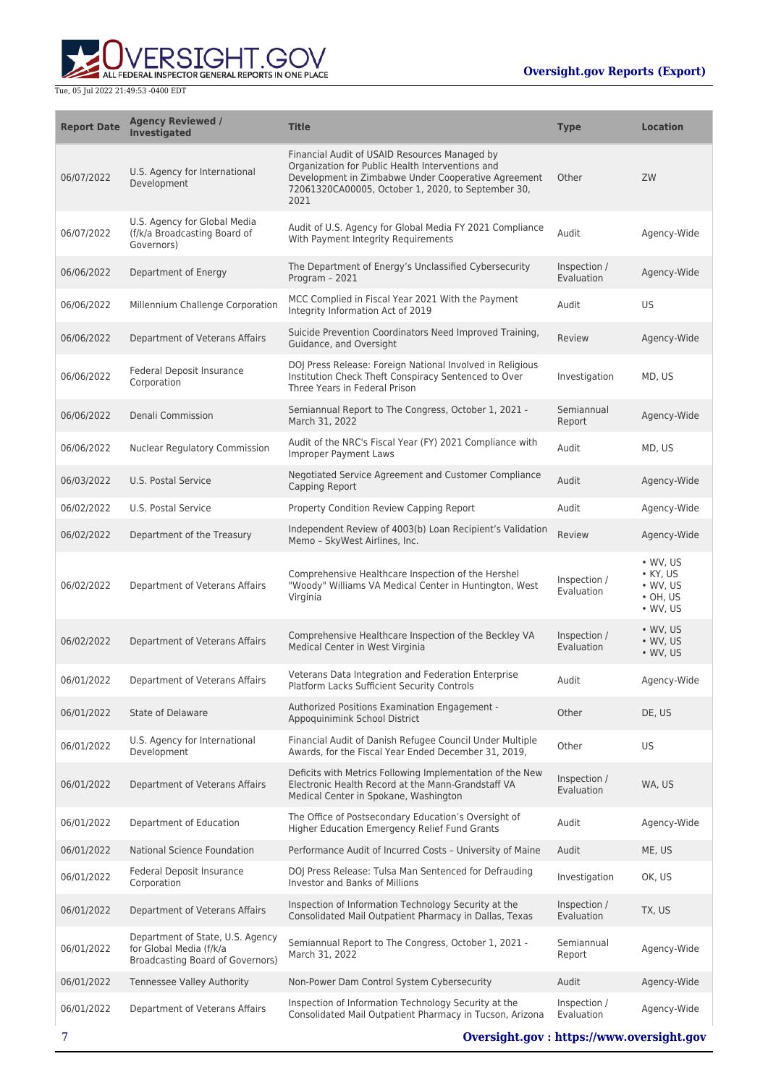

| <b>Report Date</b> | <b>Agency Reviewed /</b><br><b>Investigated</b>                                                 | <b>Title</b>                                                                                                                                                                                                           | <b>Type</b>                | <b>Location</b>                                                                                |
|--------------------|-------------------------------------------------------------------------------------------------|------------------------------------------------------------------------------------------------------------------------------------------------------------------------------------------------------------------------|----------------------------|------------------------------------------------------------------------------------------------|
| 06/07/2022         | U.S. Agency for International<br>Development                                                    | Financial Audit of USAID Resources Managed by<br>Organization for Public Health Interventions and<br>Development in Zimbabwe Under Cooperative Agreement<br>72061320CA00005, October 1, 2020, to September 30,<br>2021 | Other                      | ZW                                                                                             |
| 06/07/2022         | U.S. Agency for Global Media<br>(f/k/a Broadcasting Board of<br>Governors)                      | Audit of U.S. Agency for Global Media FY 2021 Compliance<br>With Payment Integrity Requirements                                                                                                                        | Audit                      | Agency-Wide                                                                                    |
| 06/06/2022         | Department of Energy                                                                            | The Department of Energy's Unclassified Cybersecurity<br>Program - 2021                                                                                                                                                | Inspection /<br>Evaluation | Agency-Wide                                                                                    |
| 06/06/2022         | Millennium Challenge Corporation                                                                | MCC Complied in Fiscal Year 2021 With the Payment<br>Integrity Information Act of 2019                                                                                                                                 | Audit                      | US                                                                                             |
| 06/06/2022         | Department of Veterans Affairs                                                                  | Suicide Prevention Coordinators Need Improved Training,<br>Guidance, and Oversight                                                                                                                                     | Review                     | Agency-Wide                                                                                    |
| 06/06/2022         | Federal Deposit Insurance<br>Corporation                                                        | DOJ Press Release: Foreign National Involved in Religious<br>Institution Check Theft Conspiracy Sentenced to Over<br>Three Years in Federal Prison                                                                     | Investigation              | MD, US                                                                                         |
| 06/06/2022         | Denali Commission                                                                               | Semiannual Report to The Congress, October 1, 2021 -<br>March 31, 2022                                                                                                                                                 | Semiannual<br>Report       | Agency-Wide                                                                                    |
| 06/06/2022         | <b>Nuclear Regulatory Commission</b>                                                            | Audit of the NRC's Fiscal Year (FY) 2021 Compliance with<br><b>Improper Payment Laws</b>                                                                                                                               | Audit                      | MD, US                                                                                         |
| 06/03/2022         | U.S. Postal Service                                                                             | Negotiated Service Agreement and Customer Compliance<br>Capping Report                                                                                                                                                 | Audit                      | Agency-Wide                                                                                    |
| 06/02/2022         | U.S. Postal Service                                                                             | Property Condition Review Capping Report                                                                                                                                                                               | Audit                      | Agency-Wide                                                                                    |
| 06/02/2022         | Department of the Treasury                                                                      | Independent Review of 4003(b) Loan Recipient's Validation<br>Memo - SkyWest Airlines, Inc.                                                                                                                             | Review                     | Agency-Wide                                                                                    |
| 06/02/2022         | Department of Veterans Affairs                                                                  | Comprehensive Healthcare Inspection of the Hershel<br>"Woody" Williams VA Medical Center in Huntington, West<br>Virginia                                                                                               | Inspection /<br>Evaluation | $\bullet$ WV, US<br>$\bullet$ KY, US<br>$\bullet$ WV, US<br>$\cdot$ OH, US<br>$\bullet$ WV, US |
| 06/02/2022         | Department of Veterans Affairs                                                                  | Comprehensive Healthcare Inspection of the Beckley VA<br>Medical Center in West Virginia                                                                                                                               | Inspection /<br>Evaluation | $\bullet$ WV, US<br>$\bullet$ WV, US<br>$\bullet$ WV, US                                       |
| 06/01/2022         | Department of Veterans Affairs                                                                  | Veterans Data Integration and Federation Enterprise<br>Platform Lacks Sufficient Security Controls                                                                                                                     | Audit                      | Agency-Wide                                                                                    |
| 06/01/2022         | State of Delaware                                                                               | Authorized Positions Examination Engagement -<br>Appoquinimink School District                                                                                                                                         | Other                      | DE, US                                                                                         |
| 06/01/2022         | U.S. Agency for International<br>Development                                                    | Financial Audit of Danish Refugee Council Under Multiple<br>Awards, for the Fiscal Year Ended December 31, 2019,                                                                                                       | Other                      | US                                                                                             |
| 06/01/2022         | Department of Veterans Affairs                                                                  | Deficits with Metrics Following Implementation of the New<br>Electronic Health Record at the Mann-Grandstaff VA<br>Medical Center in Spokane, Washington                                                               | Inspection /<br>Evaluation | WA, US                                                                                         |
| 06/01/2022         | Department of Education                                                                         | The Office of Postsecondary Education's Oversight of<br>Higher Education Emergency Relief Fund Grants                                                                                                                  | Audit                      | Agency-Wide                                                                                    |
| 06/01/2022         | National Science Foundation                                                                     | Performance Audit of Incurred Costs - University of Maine                                                                                                                                                              | Audit                      | ME, US                                                                                         |
| 06/01/2022         | Federal Deposit Insurance<br>Corporation                                                        | DOJ Press Release: Tulsa Man Sentenced for Defrauding<br>Investor and Banks of Millions                                                                                                                                | Investigation              | OK, US                                                                                         |
| 06/01/2022         | Department of Veterans Affairs                                                                  | Inspection of Information Technology Security at the<br>Consolidated Mail Outpatient Pharmacy in Dallas, Texas                                                                                                         | Inspection /<br>Evaluation | TX, US                                                                                         |
| 06/01/2022         | Department of State, U.S. Agency<br>for Global Media (f/k/a<br>Broadcasting Board of Governors) | Semiannual Report to The Congress, October 1, 2021 -<br>March 31, 2022                                                                                                                                                 | Semiannual<br>Report       | Agency-Wide                                                                                    |
| 06/01/2022         | <b>Tennessee Valley Authority</b>                                                               | Non-Power Dam Control System Cybersecurity                                                                                                                                                                             | Audit                      | Agency-Wide                                                                                    |
| 06/01/2022         | Department of Veterans Affairs                                                                  | Inspection of Information Technology Security at the<br>Consolidated Mail Outpatient Pharmacy in Tucson, Arizona                                                                                                       | Inspection /<br>Evaluation | Agency-Wide                                                                                    |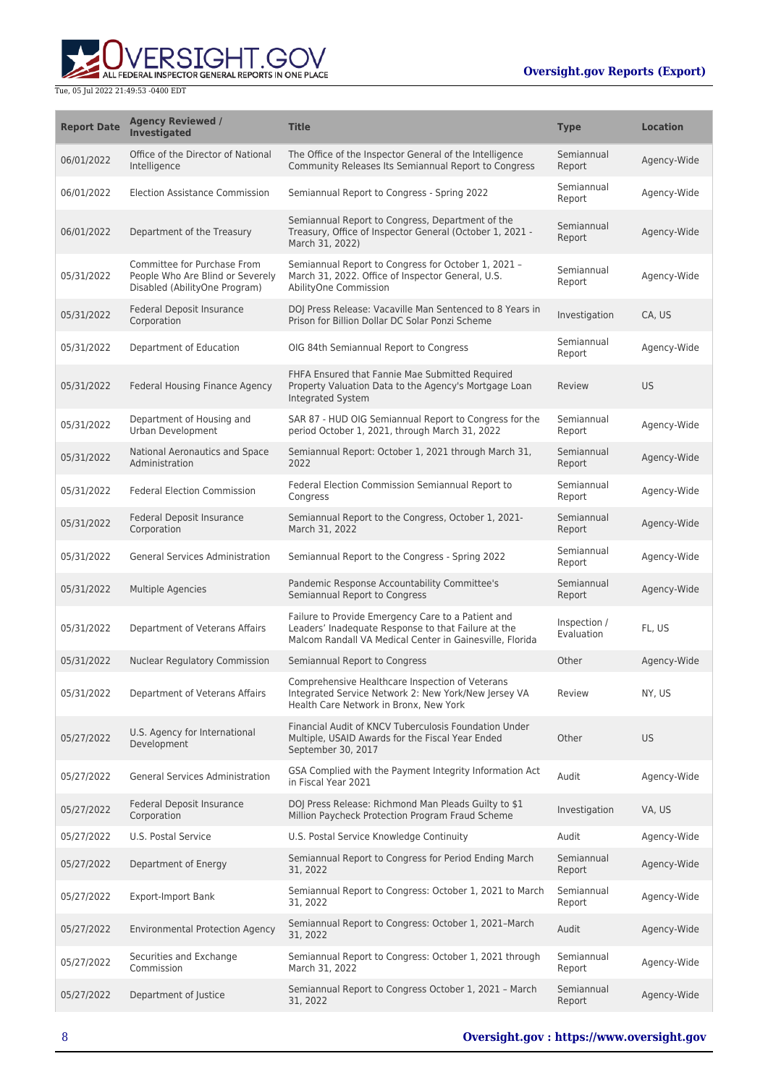

| <b>Report Date</b> | <b>Agency Reviewed /</b><br><b>Investigated</b>                                                  | <b>Title</b>                                                                                                                                                          | <b>Type</b>                | <b>Location</b> |
|--------------------|--------------------------------------------------------------------------------------------------|-----------------------------------------------------------------------------------------------------------------------------------------------------------------------|----------------------------|-----------------|
| 06/01/2022         | Office of the Director of National<br>Intelligence                                               | The Office of the Inspector General of the Intelligence<br>Community Releases Its Semiannual Report to Congress                                                       | Semiannual<br>Report       | Agency-Wide     |
| 06/01/2022         | <b>Election Assistance Commission</b>                                                            | Semiannual Report to Congress - Spring 2022                                                                                                                           | Semiannual<br>Report       | Agency-Wide     |
| 06/01/2022         | Department of the Treasury                                                                       | Semiannual Report to Congress, Department of the<br>Treasury, Office of Inspector General (October 1, 2021 -<br>March 31, 2022)                                       | Semiannual<br>Report       | Agency-Wide     |
| 05/31/2022         | Committee for Purchase From<br>People Who Are Blind or Severely<br>Disabled (AbilityOne Program) | Semiannual Report to Congress for October 1, 2021 -<br>March 31, 2022. Office of Inspector General, U.S.<br>AbilityOne Commission                                     | Semiannual<br>Report       | Agency-Wide     |
| 05/31/2022         | Federal Deposit Insurance<br>Corporation                                                         | DOJ Press Release: Vacaville Man Sentenced to 8 Years in<br>Prison for Billion Dollar DC Solar Ponzi Scheme                                                           | Investigation              | CA, US          |
| 05/31/2022         | Department of Education                                                                          | OIG 84th Semiannual Report to Congress                                                                                                                                | Semiannual<br>Report       | Agency-Wide     |
| 05/31/2022         | Federal Housing Finance Agency                                                                   | FHFA Ensured that Fannie Mae Submitted Required<br>Property Valuation Data to the Agency's Mortgage Loan<br>Integrated System                                         | Review                     | <b>US</b>       |
| 05/31/2022         | Department of Housing and<br>Urban Development                                                   | SAR 87 - HUD OIG Semiannual Report to Congress for the<br>period October 1, 2021, through March 31, 2022                                                              | Semiannual<br>Report       | Agency-Wide     |
| 05/31/2022         | National Aeronautics and Space<br>Administration                                                 | Semiannual Report: October 1, 2021 through March 31,<br>2022                                                                                                          | Semiannual<br>Report       | Agency-Wide     |
| 05/31/2022         | <b>Federal Election Commission</b>                                                               | Federal Election Commission Semiannual Report to<br>Congress                                                                                                          | Semiannual<br>Report       | Agency-Wide     |
| 05/31/2022         | Federal Deposit Insurance<br>Corporation                                                         | Semiannual Report to the Congress, October 1, 2021-<br>March 31, 2022                                                                                                 | Semiannual<br>Report       | Agency-Wide     |
| 05/31/2022         | General Services Administration                                                                  | Semiannual Report to the Congress - Spring 2022                                                                                                                       | Semiannual<br>Report       | Agency-Wide     |
| 05/31/2022         | <b>Multiple Agencies</b>                                                                         | Pandemic Response Accountability Committee's<br>Semiannual Report to Congress                                                                                         | Semiannual<br>Report       | Agency-Wide     |
| 05/31/2022         | Department of Veterans Affairs                                                                   | Failure to Provide Emergency Care to a Patient and<br>Leaders' Inadequate Response to that Failure at the<br>Malcom Randall VA Medical Center in Gainesville, Florida | Inspection /<br>Evaluation | FL, US          |
| 05/31/2022         | Nuclear Regulatory Commission                                                                    | Semiannual Report to Congress                                                                                                                                         | Other                      | Agency-Wide     |
| 05/31/2022         | Department of Veterans Affairs                                                                   | Comprehensive Healthcare Inspection of Veterans<br>Integrated Service Network 2: New York/New Jersey VA<br>Health Care Network in Bronx, New York                     | Review                     | NY, US          |
| 05/27/2022         | U.S. Agency for International<br>Development                                                     | Financial Audit of KNCV Tuberculosis Foundation Under<br>Multiple, USAID Awards for the Fiscal Year Ended<br>September 30, 2017                                       | Other                      | <b>US</b>       |
| 05/27/2022         | <b>General Services Administration</b>                                                           | GSA Complied with the Payment Integrity Information Act<br>in Fiscal Year 2021                                                                                        | Audit                      | Agency-Wide     |
| 05/27/2022         | Federal Deposit Insurance<br>Corporation                                                         | DOJ Press Release: Richmond Man Pleads Guilty to \$1<br>Million Paycheck Protection Program Fraud Scheme                                                              | Investigation              | VA, US          |
| 05/27/2022         | U.S. Postal Service                                                                              | U.S. Postal Service Knowledge Continuity                                                                                                                              | Audit                      | Agency-Wide     |
| 05/27/2022         | Department of Energy                                                                             | Semiannual Report to Congress for Period Ending March<br>31, 2022                                                                                                     | Semiannual<br>Report       | Agency-Wide     |
| 05/27/2022         | <b>Export-Import Bank</b>                                                                        | Semiannual Report to Congress: October 1, 2021 to March<br>31, 2022                                                                                                   | Semiannual<br>Report       | Agency-Wide     |
| 05/27/2022         | <b>Environmental Protection Agency</b>                                                           | Semiannual Report to Congress: October 1, 2021-March<br>31, 2022                                                                                                      | Audit                      | Agency-Wide     |
| 05/27/2022         | Securities and Exchange<br>Commission                                                            | Semiannual Report to Congress: October 1, 2021 through<br>March 31, 2022                                                                                              | Semiannual<br>Report       | Agency-Wide     |
| 05/27/2022         | Department of Justice                                                                            | Semiannual Report to Congress October 1, 2021 - March<br>31, 2022                                                                                                     | Semiannual<br>Report       | Agency-Wide     |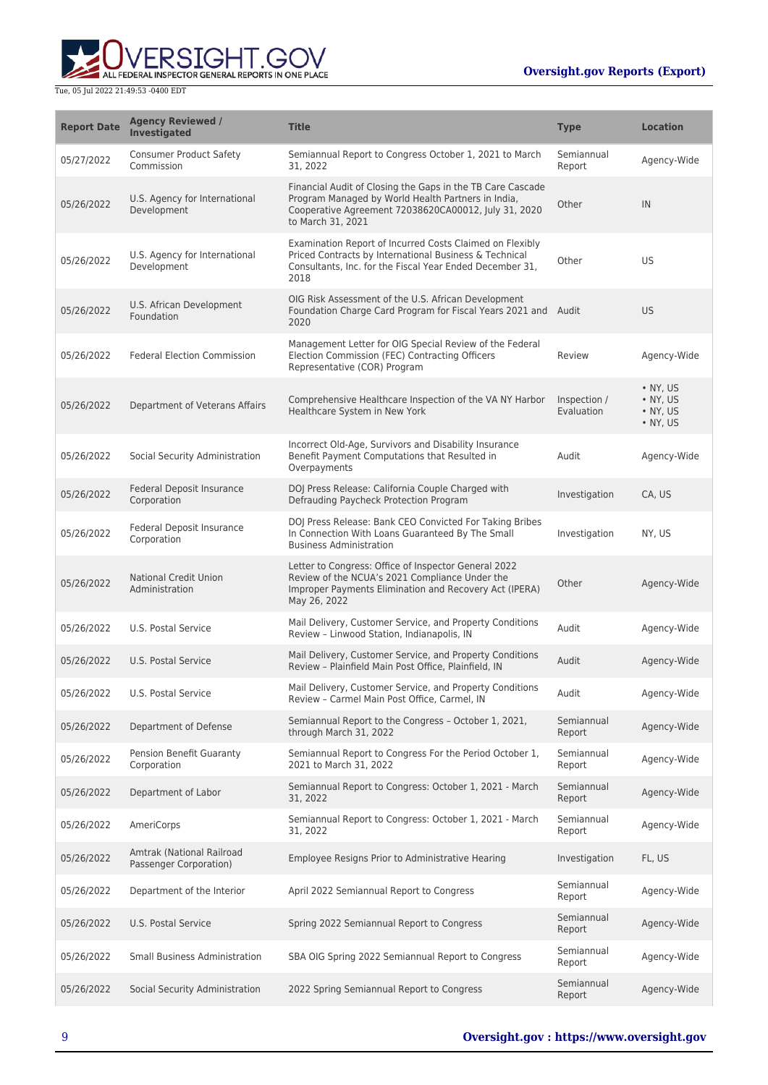

| <b>Report Date</b> | <b>Agency Reviewed /</b><br>Investigated            | <b>Title</b>                                                                                                                                                                                  | <b>Type</b>                | <b>Location</b>                                                      |
|--------------------|-----------------------------------------------------|-----------------------------------------------------------------------------------------------------------------------------------------------------------------------------------------------|----------------------------|----------------------------------------------------------------------|
| 05/27/2022         | <b>Consumer Product Safety</b><br>Commission        | Semiannual Report to Congress October 1, 2021 to March<br>31, 2022                                                                                                                            | Semiannual<br>Report       | Agency-Wide                                                          |
| 05/26/2022         | U.S. Agency for International<br>Development        | Financial Audit of Closing the Gaps in the TB Care Cascade<br>Program Managed by World Health Partners in India,<br>Cooperative Agreement 72038620CA00012, July 31, 2020<br>to March 31, 2021 | Other                      | IN                                                                   |
| 05/26/2022         | U.S. Agency for International<br>Development        | Examination Report of Incurred Costs Claimed on Flexibly<br>Priced Contracts by International Business & Technical<br>Consultants, Inc. for the Fiscal Year Ended December 31,<br>2018        | Other                      | <b>US</b>                                                            |
| 05/26/2022         | U.S. African Development<br>Foundation              | OIG Risk Assessment of the U.S. African Development<br>Foundation Charge Card Program for Fiscal Years 2021 and Audit<br>2020                                                                 |                            | <b>US</b>                                                            |
| 05/26/2022         | <b>Federal Election Commission</b>                  | Management Letter for OIG Special Review of the Federal<br>Election Commission (FEC) Contracting Officers<br>Representative (COR) Program                                                     | Review                     | Agency-Wide                                                          |
| 05/26/2022         | Department of Veterans Affairs                      | Comprehensive Healthcare Inspection of the VA NY Harbor<br>Healthcare System in New York                                                                                                      | Inspection /<br>Evaluation | $\bullet$ NY, US<br>• NY, US<br>$\bullet$ NY, US<br>$\bullet$ NY, US |
| 05/26/2022         | Social Security Administration                      | Incorrect Old-Age, Survivors and Disability Insurance<br>Benefit Payment Computations that Resulted in<br>Overpayments                                                                        | Audit                      | Agency-Wide                                                          |
| 05/26/2022         | Federal Deposit Insurance<br>Corporation            | DOJ Press Release: California Couple Charged with<br>Defrauding Paycheck Protection Program                                                                                                   | Investigation              | CA, US                                                               |
| 05/26/2022         | Federal Deposit Insurance<br>Corporation            | DOJ Press Release: Bank CEO Convicted For Taking Bribes<br>In Connection With Loans Guaranteed By The Small<br><b>Business Administration</b>                                                 | Investigation              | NY, US                                                               |
| 05/26/2022         | <b>National Credit Union</b><br>Administration      | Letter to Congress: Office of Inspector General 2022<br>Review of the NCUA's 2021 Compliance Under the<br>Improper Payments Elimination and Recovery Act (IPERA)<br>May 26, 2022              | Other                      | Agency-Wide                                                          |
| 05/26/2022         | U.S. Postal Service                                 | Mail Delivery, Customer Service, and Property Conditions<br>Review - Linwood Station, Indianapolis, IN                                                                                        | Audit                      | Agency-Wide                                                          |
| 05/26/2022         | U.S. Postal Service                                 | Mail Delivery, Customer Service, and Property Conditions<br>Review - Plainfield Main Post Office, Plainfield, IN                                                                              | Audit                      | Agency-Wide                                                          |
| 05/26/2022         | U.S. Postal Service                                 | Mail Delivery, Customer Service, and Property Conditions<br>Review - Carmel Main Post Office, Carmel, IN                                                                                      | Audit                      | Agency-Wide                                                          |
| 05/26/2022         | Department of Defense                               | Semiannual Report to the Congress - October 1, 2021,<br>through March 31, 2022                                                                                                                | Semiannual<br>Report       | Agency-Wide                                                          |
| 05/26/2022         | Pension Benefit Guaranty<br>Corporation             | Semiannual Report to Congress For the Period October 1,<br>2021 to March 31, 2022                                                                                                             | Semiannual<br>Report       | Agency-Wide                                                          |
| 05/26/2022         | Department of Labor                                 | Semiannual Report to Congress: October 1, 2021 - March<br>31, 2022                                                                                                                            | Semiannual<br>Report       | Agency-Wide                                                          |
| 05/26/2022         | AmeriCorps                                          | Semiannual Report to Congress: October 1, 2021 - March<br>31, 2022                                                                                                                            | Semiannual<br>Report       | Agency-Wide                                                          |
| 05/26/2022         | Amtrak (National Railroad<br>Passenger Corporation) | Employee Resigns Prior to Administrative Hearing                                                                                                                                              | Investigation              | FL, US                                                               |
| 05/26/2022         | Department of the Interior                          | April 2022 Semiannual Report to Congress                                                                                                                                                      | Semiannual<br>Report       | Agency-Wide                                                          |
| 05/26/2022         | U.S. Postal Service                                 | Spring 2022 Semiannual Report to Congress                                                                                                                                                     | Semiannual<br>Report       | Agency-Wide                                                          |
| 05/26/2022         | <b>Small Business Administration</b>                | SBA OIG Spring 2022 Semiannual Report to Congress                                                                                                                                             | Semiannual<br>Report       | Agency-Wide                                                          |
| 05/26/2022         | Social Security Administration                      | 2022 Spring Semiannual Report to Congress                                                                                                                                                     | Semiannual<br>Report       | Agency-Wide                                                          |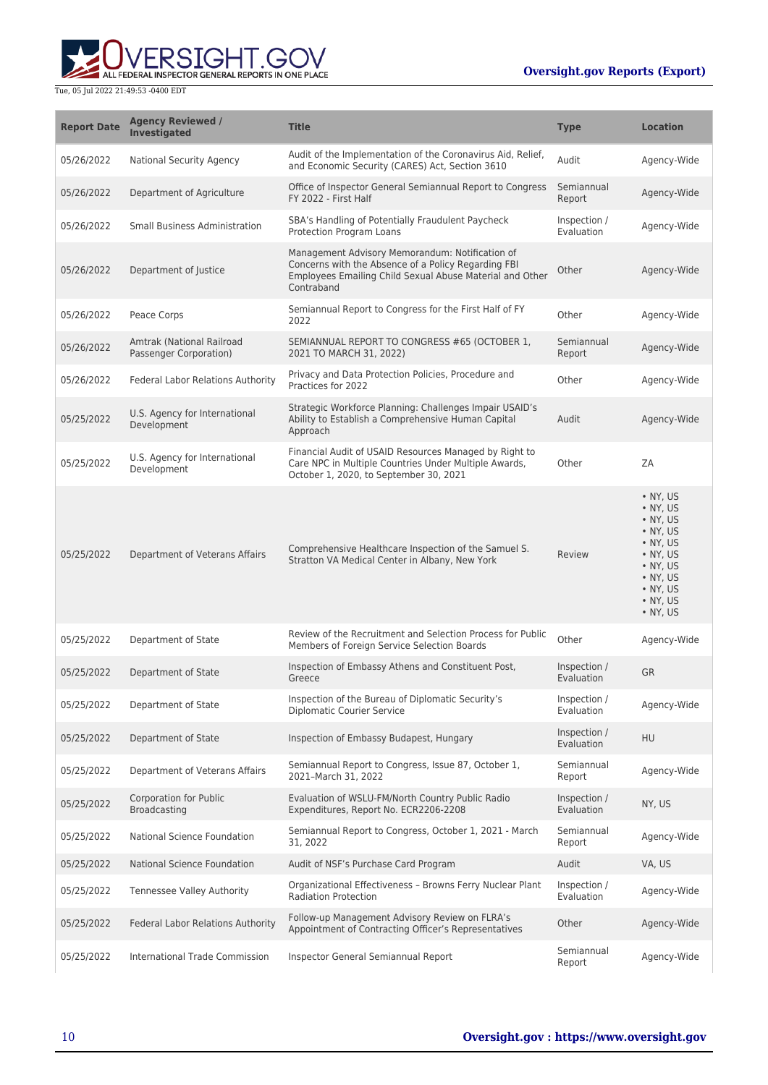

| <b>Report Date</b> | <b>Agency Reviewed /</b><br><b>Investigated</b>     | <b>Title</b>                                                                                                                                                                     | <b>Type</b>                | <b>Location</b>                                                                                                                                                          |
|--------------------|-----------------------------------------------------|----------------------------------------------------------------------------------------------------------------------------------------------------------------------------------|----------------------------|--------------------------------------------------------------------------------------------------------------------------------------------------------------------------|
| 05/26/2022         | <b>National Security Agency</b>                     | Audit of the Implementation of the Coronavirus Aid, Relief,<br>and Economic Security (CARES) Act, Section 3610                                                                   | Audit                      | Agency-Wide                                                                                                                                                              |
| 05/26/2022         | Department of Agriculture                           | Office of Inspector General Semiannual Report to Congress<br>FY 2022 - First Half                                                                                                | Semiannual<br>Report       | Agency-Wide                                                                                                                                                              |
| 05/26/2022         | <b>Small Business Administration</b>                | SBA's Handling of Potentially Fraudulent Paycheck<br>Protection Program Loans                                                                                                    | Inspection /<br>Evaluation | Agency-Wide                                                                                                                                                              |
| 05/26/2022         | Department of Justice                               | Management Advisory Memorandum: Notification of<br>Concerns with the Absence of a Policy Regarding FBI<br>Employees Emailing Child Sexual Abuse Material and Other<br>Contraband | Other                      | Agency-Wide                                                                                                                                                              |
| 05/26/2022         | Peace Corps                                         | Semiannual Report to Congress for the First Half of FY<br>2022                                                                                                                   | Other                      | Agency-Wide                                                                                                                                                              |
| 05/26/2022         | Amtrak (National Railroad<br>Passenger Corporation) | SEMIANNUAL REPORT TO CONGRESS #65 (OCTOBER 1,<br>2021 TO MARCH 31, 2022)                                                                                                         | Semiannual<br>Report       | Agency-Wide                                                                                                                                                              |
| 05/26/2022         | Federal Labor Relations Authority                   | Privacy and Data Protection Policies, Procedure and<br>Practices for 2022                                                                                                        | Other                      | Agency-Wide                                                                                                                                                              |
| 05/25/2022         | U.S. Agency for International<br>Development        | Strategic Workforce Planning: Challenges Impair USAID's<br>Ability to Establish a Comprehensive Human Capital<br>Approach                                                        | Audit                      | Agency-Wide                                                                                                                                                              |
| 05/25/2022         | U.S. Agency for International<br>Development        | Financial Audit of USAID Resources Managed by Right to<br>Care NPC in Multiple Countries Under Multiple Awards,<br>October 1, 2020, to September 30, 2021                        | Other                      | ZA                                                                                                                                                                       |
| 05/25/2022         | Department of Veterans Affairs                      | Comprehensive Healthcare Inspection of the Samuel S.<br>Stratton VA Medical Center in Albany, New York                                                                           | Review                     | • NY, US<br>• NY, US<br>$\bullet$ NY, US<br>• NY, US<br>• NY, US<br>• NY, US<br>$\bullet$ NY, US<br>$\bullet$ NY, US<br>$\bullet$ NY, US<br>$\bullet$ NY, US<br>• NY, US |
| 05/25/2022         | Department of State                                 | Review of the Recruitment and Selection Process for Public<br>Members of Foreign Service Selection Boards                                                                        | Other                      | Agency-Wide                                                                                                                                                              |
| 05/25/2022         | Department of State                                 | Inspection of Embassy Athens and Constituent Post,<br>Greece                                                                                                                     | Inspection /<br>Evaluation | <b>GR</b>                                                                                                                                                                |
| 05/25/2022         | Department of State                                 | Inspection of the Bureau of Diplomatic Security's<br><b>Diplomatic Courier Service</b>                                                                                           | Inspection /<br>Evaluation | Agency-Wide                                                                                                                                                              |
| 05/25/2022         | Department of State                                 | Inspection of Embassy Budapest, Hungary                                                                                                                                          | Inspection /<br>Evaluation | HU                                                                                                                                                                       |
| 05/25/2022         | Department of Veterans Affairs                      | Semiannual Report to Congress, Issue 87, October 1,<br>2021-March 31, 2022                                                                                                       | Semiannual<br>Report       | Agency-Wide                                                                                                                                                              |
| 05/25/2022         | <b>Corporation for Public</b><br>Broadcasting       | Evaluation of WSLU-FM/North Country Public Radio<br>Expenditures, Report No. ECR2206-2208                                                                                        | Inspection /<br>Evaluation | NY, US                                                                                                                                                                   |
| 05/25/2022         | National Science Foundation                         | Semiannual Report to Congress, October 1, 2021 - March<br>31, 2022                                                                                                               | Semiannual<br>Report       | Agency-Wide                                                                                                                                                              |
| 05/25/2022         | National Science Foundation                         | Audit of NSF's Purchase Card Program                                                                                                                                             | Audit                      | VA, US                                                                                                                                                                   |
| 05/25/2022         | Tennessee Valley Authority                          | Organizational Effectiveness - Browns Ferry Nuclear Plant<br><b>Radiation Protection</b>                                                                                         | Inspection /<br>Evaluation | Agency-Wide                                                                                                                                                              |
| 05/25/2022         | Federal Labor Relations Authority                   | Follow-up Management Advisory Review on FLRA's<br>Appointment of Contracting Officer's Representatives                                                                           | Other                      | Agency-Wide                                                                                                                                                              |
| 05/25/2022         | International Trade Commission                      | Inspector General Semiannual Report                                                                                                                                              | Semiannual<br>Report       | Agency-Wide                                                                                                                                                              |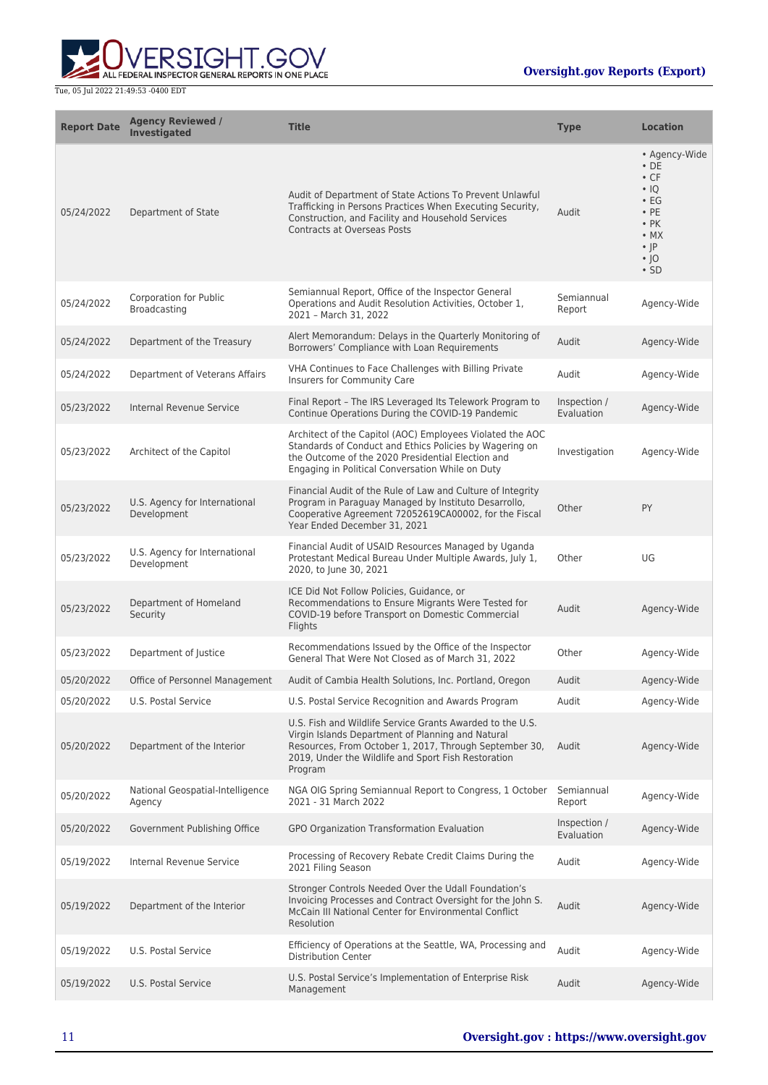

| <b>Report Date</b> | <b>Agency Reviewed /</b><br><b>Investigated</b> | <b>Title</b>                                                                                                                                                                                                                               | <b>Type</b>                | <b>Location</b>                                                                                                                                             |
|--------------------|-------------------------------------------------|--------------------------------------------------------------------------------------------------------------------------------------------------------------------------------------------------------------------------------------------|----------------------------|-------------------------------------------------------------------------------------------------------------------------------------------------------------|
| 05/24/2022         | Department of State                             | Audit of Department of State Actions To Prevent Unlawful<br>Trafficking in Persons Practices When Executing Security,<br>Construction, and Facility and Household Services<br><b>Contracts at Overseas Posts</b>                           | Audit                      | • Agency-Wide<br>$\cdot$ DE<br>$\cdot$ CF<br>$\cdot$ 10<br>$\cdot$ EG<br>$\cdot$ PE<br>$\cdot$ PK<br>$\bullet$ MX<br>$\cdot$  P<br>$\cdot$  O<br>$\cdot$ SD |
| 05/24/2022         | Corporation for Public<br>Broadcasting          | Semiannual Report, Office of the Inspector General<br>Operations and Audit Resolution Activities, October 1,<br>2021 - March 31, 2022                                                                                                      | Semiannual<br>Report       | Agency-Wide                                                                                                                                                 |
| 05/24/2022         | Department of the Treasury                      | Alert Memorandum: Delays in the Quarterly Monitoring of<br>Borrowers' Compliance with Loan Requirements                                                                                                                                    | Audit                      | Agency-Wide                                                                                                                                                 |
| 05/24/2022         | Department of Veterans Affairs                  | VHA Continues to Face Challenges with Billing Private<br>Insurers for Community Care                                                                                                                                                       | Audit                      | Agency-Wide                                                                                                                                                 |
| 05/23/2022         | Internal Revenue Service                        | Final Report - The IRS Leveraged Its Telework Program to<br>Continue Operations During the COVID-19 Pandemic                                                                                                                               | Inspection /<br>Evaluation | Agency-Wide                                                                                                                                                 |
| 05/23/2022         | Architect of the Capitol                        | Architect of the Capitol (AOC) Employees Violated the AOC<br>Standards of Conduct and Ethics Policies by Wagering on<br>the Outcome of the 2020 Presidential Election and<br>Engaging in Political Conversation While on Duty              | Investigation              | Agency-Wide                                                                                                                                                 |
| 05/23/2022         | U.S. Agency for International<br>Development    | Financial Audit of the Rule of Law and Culture of Integrity<br>Program in Paraguay Managed by Instituto Desarrollo,<br>Cooperative Agreement 72052619CA00002, for the Fiscal<br>Year Ended December 31, 2021                               | Other                      | PY                                                                                                                                                          |
| 05/23/2022         | U.S. Agency for International<br>Development    | Financial Audit of USAID Resources Managed by Uganda<br>Protestant Medical Bureau Under Multiple Awards, July 1,<br>2020, to June 30, 2021                                                                                                 | Other                      | UG                                                                                                                                                          |
| 05/23/2022         | Department of Homeland<br>Security              | ICE Did Not Follow Policies, Guidance, or<br>Recommendations to Ensure Migrants Were Tested for<br>COVID-19 before Transport on Domestic Commercial<br>Flights                                                                             | Audit                      | Agency-Wide                                                                                                                                                 |
| 05/23/2022         | Department of Justice                           | Recommendations Issued by the Office of the Inspector<br>General That Were Not Closed as of March 31, 2022                                                                                                                                 | Other                      | Agency-Wide                                                                                                                                                 |
| 05/20/2022         | Office of Personnel Management                  | Audit of Cambia Health Solutions, Inc. Portland, Oregon                                                                                                                                                                                    | Audit                      | Agency-Wide                                                                                                                                                 |
| 05/20/2022         | U.S. Postal Service                             | U.S. Postal Service Recognition and Awards Program                                                                                                                                                                                         | Audit                      | Agency-Wide                                                                                                                                                 |
| 05/20/2022         | Department of the Interior                      | U.S. Fish and Wildlife Service Grants Awarded to the U.S.<br>Virgin Islands Department of Planning and Natural<br>Resources, From October 1, 2017, Through September 30,<br>2019, Under the Wildlife and Sport Fish Restoration<br>Program | Audit                      | Agency-Wide                                                                                                                                                 |
| 05/20/2022         | National Geospatial-Intelligence<br>Agency      | NGA OIG Spring Semiannual Report to Congress, 1 October<br>2021 - 31 March 2022                                                                                                                                                            | Semiannual<br>Report       | Agency-Wide                                                                                                                                                 |
| 05/20/2022         | Government Publishing Office                    | GPO Organization Transformation Evaluation                                                                                                                                                                                                 | Inspection /<br>Evaluation | Agency-Wide                                                                                                                                                 |
| 05/19/2022         | Internal Revenue Service                        | Processing of Recovery Rebate Credit Claims During the<br>2021 Filing Season                                                                                                                                                               | Audit                      | Agency-Wide                                                                                                                                                 |
| 05/19/2022         | Department of the Interior                      | Stronger Controls Needed Over the Udall Foundation's<br>Invoicing Processes and Contract Oversight for the John S.<br>McCain III National Center for Environmental Conflict<br>Resolution                                                  | Audit                      | Agency-Wide                                                                                                                                                 |
| 05/19/2022         | U.S. Postal Service                             | Efficiency of Operations at the Seattle, WA, Processing and<br><b>Distribution Center</b>                                                                                                                                                  | Audit                      | Agency-Wide                                                                                                                                                 |
| 05/19/2022         | U.S. Postal Service                             | U.S. Postal Service's Implementation of Enterprise Risk<br>Management                                                                                                                                                                      | Audit                      | Agency-Wide                                                                                                                                                 |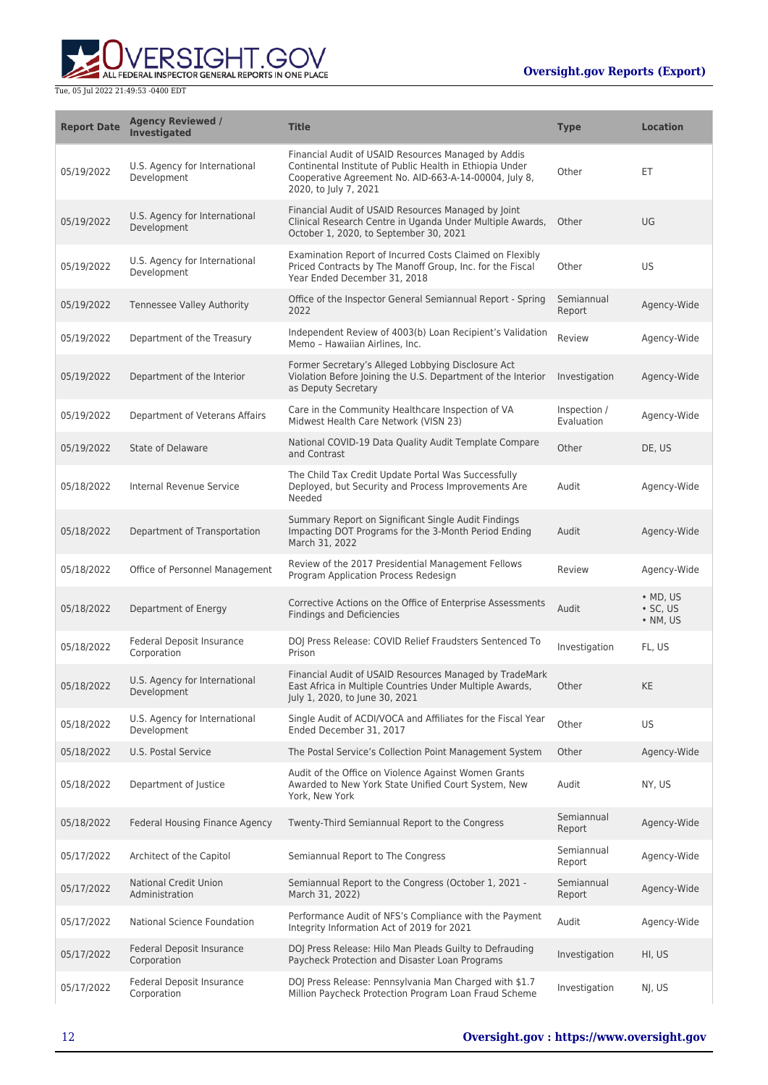

| <b>Report Date</b> | <b>Agency Reviewed /</b><br><b>Investigated</b> | <b>Title</b>                                                                                                                                                                                      | <b>Type</b>                | <b>Location</b>                                        |
|--------------------|-------------------------------------------------|---------------------------------------------------------------------------------------------------------------------------------------------------------------------------------------------------|----------------------------|--------------------------------------------------------|
| 05/19/2022         | U.S. Agency for International<br>Development    | Financial Audit of USAID Resources Managed by Addis<br>Continental Institute of Public Health in Ethiopia Under<br>Cooperative Agreement No. AID-663-A-14-00004, July 8,<br>2020, to July 7, 2021 | Other                      | ЕT                                                     |
| 05/19/2022         | U.S. Agency for International<br>Development    | Financial Audit of USAID Resources Managed by Joint<br>Clinical Research Centre in Uganda Under Multiple Awards,<br>October 1, 2020, to September 30, 2021                                        | Other                      | UG                                                     |
| 05/19/2022         | U.S. Agency for International<br>Development    | Examination Report of Incurred Costs Claimed on Flexibly<br>Priced Contracts by The Manoff Group, Inc. for the Fiscal<br>Year Ended December 31, 2018                                             | Other                      | US.                                                    |
| 05/19/2022         | Tennessee Valley Authority                      | Office of the Inspector General Semiannual Report - Spring<br>2022                                                                                                                                | Semiannual<br>Report       | Agency-Wide                                            |
| 05/19/2022         | Department of the Treasury                      | Independent Review of 4003(b) Loan Recipient's Validation<br>Memo - Hawaiian Airlines, Inc.                                                                                                       | Review                     | Agency-Wide                                            |
| 05/19/2022         | Department of the Interior                      | Former Secretary's Alleged Lobbying Disclosure Act<br>Violation Before Joining the U.S. Department of the Interior<br>as Deputy Secretary                                                         | Investigation              | Agency-Wide                                            |
| 05/19/2022         | Department of Veterans Affairs                  | Care in the Community Healthcare Inspection of VA<br>Midwest Health Care Network (VISN 23)                                                                                                        | Inspection /<br>Evaluation | Agency-Wide                                            |
| 05/19/2022         | State of Delaware                               | National COVID-19 Data Quality Audit Template Compare<br>and Contrast                                                                                                                             | Other                      | DE, US                                                 |
| 05/18/2022         | Internal Revenue Service                        | The Child Tax Credit Update Portal Was Successfully<br>Deployed, but Security and Process Improvements Are<br>Needed                                                                              | Audit                      | Agency-Wide                                            |
| 05/18/2022         | Department of Transportation                    | Summary Report on Significant Single Audit Findings<br>Impacting DOT Programs for the 3-Month Period Ending<br>March 31, 2022                                                                     | Audit                      | Agency-Wide                                            |
| 05/18/2022         | Office of Personnel Management                  | Review of the 2017 Presidential Management Fellows<br>Program Application Process Redesign                                                                                                        | Review                     | Agency-Wide                                            |
| 05/18/2022         | Department of Energy                            | Corrective Actions on the Office of Enterprise Assessments<br><b>Findings and Deficiencies</b>                                                                                                    | Audit                      | $\bullet$ MD, US<br>$\cdot$ SC, US<br>$\bullet$ NM, US |
| 05/18/2022         | Federal Deposit Insurance<br>Corporation        | DOJ Press Release: COVID Relief Fraudsters Sentenced To<br>Prison                                                                                                                                 | Investigation              | FL, US                                                 |
| 05/18/2022         | U.S. Agency for International<br>Development    | Financial Audit of USAID Resources Managed by TradeMark<br>East Africa in Multiple Countries Under Multiple Awards,<br>July 1, 2020, to June 30, 2021                                             | Other                      | <b>KE</b>                                              |
| 05/18/2022         | U.S. Agency for International<br>Development    | Single Audit of ACDI/VOCA and Affiliates for the Fiscal Year<br>Ended December 31, 2017                                                                                                           | Other                      | US.                                                    |
| 05/18/2022         | U.S. Postal Service                             | The Postal Service's Collection Point Management System                                                                                                                                           | Other                      | Agency-Wide                                            |
| 05/18/2022         | Department of Justice                           | Audit of the Office on Violence Against Women Grants<br>Awarded to New York State Unified Court System, New<br>York, New York                                                                     | Audit                      | NY, US                                                 |
| 05/18/2022         | Federal Housing Finance Agency                  | Twenty-Third Semiannual Report to the Congress                                                                                                                                                    | Semiannual<br>Report       | Agency-Wide                                            |
| 05/17/2022         | Architect of the Capitol                        | Semiannual Report to The Congress                                                                                                                                                                 | Semiannual<br>Report       | Agency-Wide                                            |
| 05/17/2022         | <b>National Credit Union</b><br>Administration  | Semiannual Report to the Congress (October 1, 2021 -<br>March 31, 2022)                                                                                                                           | Semiannual<br>Report       | Agency-Wide                                            |
| 05/17/2022         | National Science Foundation                     | Performance Audit of NFS's Compliance with the Payment<br>Integrity Information Act of 2019 for 2021                                                                                              | Audit                      | Agency-Wide                                            |
| 05/17/2022         | Federal Deposit Insurance<br>Corporation        | DOJ Press Release: Hilo Man Pleads Guilty to Defrauding<br>Paycheck Protection and Disaster Loan Programs                                                                                         | Investigation              | HI, US                                                 |
| 05/17/2022         | Federal Deposit Insurance<br>Corporation        | DOJ Press Release: Pennsylvania Man Charged with \$1.7<br>Million Paycheck Protection Program Loan Fraud Scheme                                                                                   | Investigation              | NJ, US                                                 |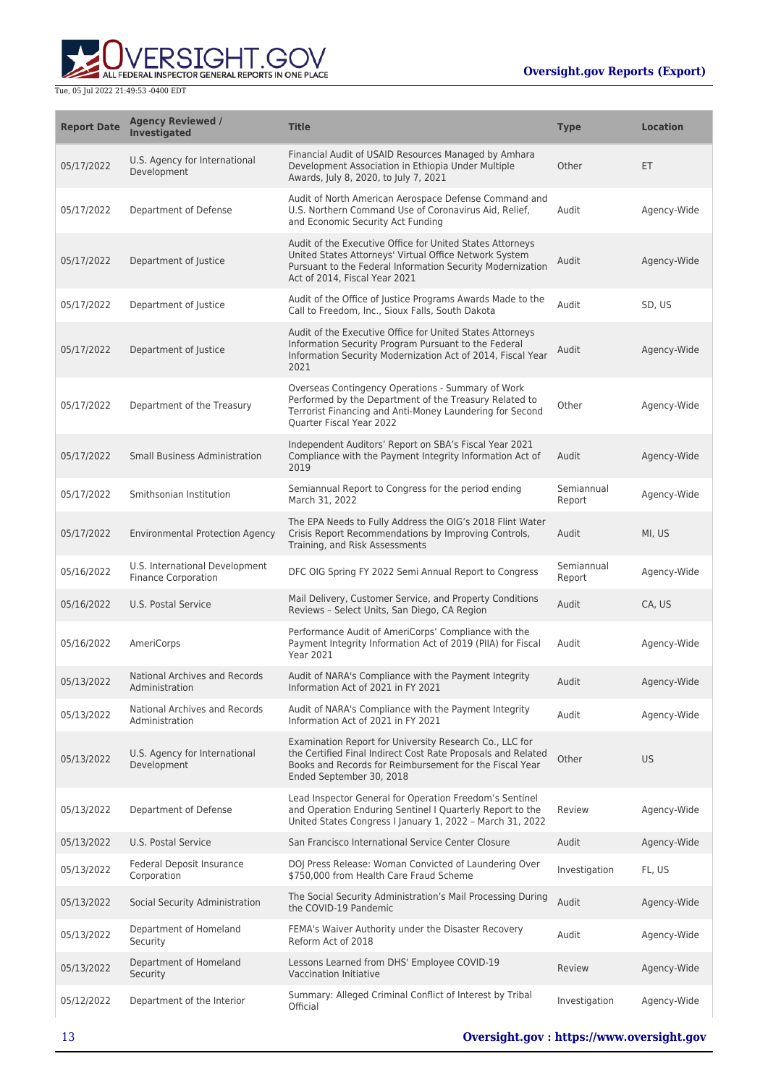

| <b>Report Date</b> | <b>Agency Reviewed /</b><br>Investigated                     | <b>Title</b>                                                                                                                                                                                                       | <b>Type</b>          | <b>Location</b> |
|--------------------|--------------------------------------------------------------|--------------------------------------------------------------------------------------------------------------------------------------------------------------------------------------------------------------------|----------------------|-----------------|
| 05/17/2022         | U.S. Agency for International<br>Development                 | Financial Audit of USAID Resources Managed by Amhara<br>Development Association in Ethiopia Under Multiple<br>Awards, July 8, 2020, to July 7, 2021                                                                | Other                | ET              |
| 05/17/2022         | Department of Defense                                        | Audit of North American Aerospace Defense Command and<br>U.S. Northern Command Use of Coronavirus Aid, Relief,<br>and Economic Security Act Funding                                                                | Audit                | Agency-Wide     |
| 05/17/2022         | Department of Justice                                        | Audit of the Executive Office for United States Attorneys<br>United States Attorneys' Virtual Office Network System<br>Pursuant to the Federal Information Security Modernization<br>Act of 2014. Fiscal Year 2021 | Audit                | Agency-Wide     |
| 05/17/2022         | Department of Justice                                        | Audit of the Office of Justice Programs Awards Made to the<br>Call to Freedom, Inc., Sioux Falls, South Dakota                                                                                                     | Audit                | SD, US          |
| 05/17/2022         | Department of Justice                                        | Audit of the Executive Office for United States Attorneys<br>Information Security Program Pursuant to the Federal<br>Information Security Modernization Act of 2014, Fiscal Year<br>2021                           | Audit                | Agency-Wide     |
| 05/17/2022         | Department of the Treasury                                   | Overseas Contingency Operations - Summary of Work<br>Performed by the Department of the Treasury Related to<br>Terrorist Financing and Anti-Money Laundering for Second<br>Quarter Fiscal Year 2022                | Other                | Agency-Wide     |
| 05/17/2022         | <b>Small Business Administration</b>                         | Independent Auditors' Report on SBA's Fiscal Year 2021<br>Compliance with the Payment Integrity Information Act of<br>2019                                                                                         | Audit                | Agency-Wide     |
| 05/17/2022         | Smithsonian Institution                                      | Semiannual Report to Congress for the period ending<br>March 31, 2022                                                                                                                                              | Semiannual<br>Report | Agency-Wide     |
| 05/17/2022         | <b>Environmental Protection Agency</b>                       | The EPA Needs to Fully Address the OIG's 2018 Flint Water<br>Crisis Report Recommendations by Improving Controls,<br>Training, and Risk Assessments                                                                | Audit                | MI, US          |
| 05/16/2022         | U.S. International Development<br><b>Finance Corporation</b> | DFC OIG Spring FY 2022 Semi Annual Report to Congress                                                                                                                                                              | Semiannual<br>Report | Agency-Wide     |
| 05/16/2022         | U.S. Postal Service                                          | Mail Delivery, Customer Service, and Property Conditions<br>Reviews - Select Units, San Diego, CA Region                                                                                                           | Audit                | CA, US          |
| 05/16/2022         | AmeriCorps                                                   | Performance Audit of AmeriCorps' Compliance with the<br>Payment Integrity Information Act of 2019 (PIIA) for Fiscal<br><b>Year 2021</b>                                                                            | Audit                | Agency-Wide     |
| 05/13/2022         | National Archives and Records<br>Administration              | Audit of NARA's Compliance with the Payment Integrity<br>Information Act of 2021 in FY 2021                                                                                                                        | Audit                | Agency-Wide     |
| 05/13/2022         | National Archives and Records<br>Administration              | Audit of NARA's Compliance with the Payment Integrity<br>Information Act of 2021 in FY 2021                                                                                                                        | Audit                | Agency-Wide     |
| 05/13/2022         | U.S. Agency for International<br>Development                 | Examination Report for University Research Co., LLC for<br>the Certified Final Indirect Cost Rate Proposals and Related<br>Books and Records for Reimbursement for the Fiscal Year<br>Ended September 30, 2018     | Other                | <b>US</b>       |
| 05/13/2022         | Department of Defense                                        | Lead Inspector General for Operation Freedom's Sentinel<br>and Operation Enduring Sentinel I Quarterly Report to the<br>United States Congress I January 1, 2022 - March 31, 2022                                  | Review               | Agency-Wide     |
| 05/13/2022         | <b>U.S. Postal Service</b>                                   | San Francisco International Service Center Closure                                                                                                                                                                 | Audit                | Agency-Wide     |
| 05/13/2022         | Federal Deposit Insurance<br>Corporation                     | DOJ Press Release: Woman Convicted of Laundering Over<br>\$750,000 from Health Care Fraud Scheme                                                                                                                   | Investigation        | FL, US          |
| 05/13/2022         | Social Security Administration                               | The Social Security Administration's Mail Processing During<br>the COVID-19 Pandemic                                                                                                                               | Audit                | Agency-Wide     |
| 05/13/2022         | Department of Homeland<br>Security                           | FEMA's Waiver Authority under the Disaster Recovery<br>Reform Act of 2018                                                                                                                                          | Audit                | Agency-Wide     |
| 05/13/2022         | Department of Homeland<br>Security                           | Lessons Learned from DHS' Employee COVID-19<br><b>Vaccination Initiative</b>                                                                                                                                       | Review               | Agency-Wide     |
| 05/12/2022         | Department of the Interior                                   | Summary: Alleged Criminal Conflict of Interest by Tribal<br>Official                                                                                                                                               | Investigation        | Agency-Wide     |